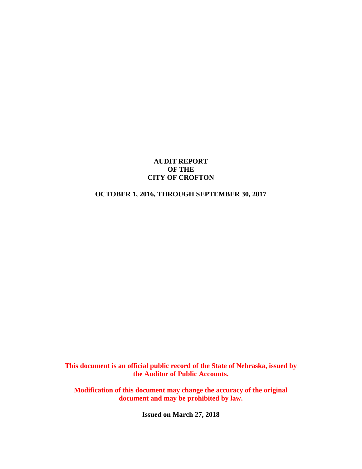## **AUDIT REPORT OF THE CITY OF CROFTON**

# **OCTOBER 1, 2016, THROUGH SEPTEMBER 30, 2017**

**This document is an official public record of the State of Nebraska, issued by the Auditor of Public Accounts.**

**Modification of this document may change the accuracy of the original document and may be prohibited by law.**

**Issued on March 27, 2018**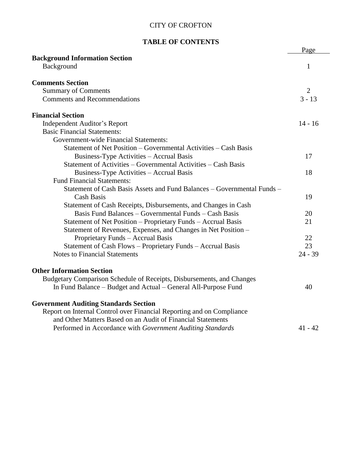# **TABLE OF CONTENTS**

|                                                                         | Page           |
|-------------------------------------------------------------------------|----------------|
| <b>Background Information Section</b>                                   |                |
| Background                                                              | 1              |
| <b>Comments Section</b>                                                 |                |
| <b>Summary of Comments</b>                                              | $\overline{2}$ |
| <b>Comments and Recommendations</b>                                     | $3 - 13$       |
| <b>Financial Section</b>                                                |                |
| <b>Independent Auditor's Report</b>                                     | $14 - 16$      |
| <b>Basic Financial Statements:</b>                                      |                |
| Government-wide Financial Statements:                                   |                |
| Statement of Net Position - Governmental Activities - Cash Basis        |                |
| Business-Type Activities – Accrual Basis                                | 17             |
| Statement of Activities – Governmental Activities – Cash Basis          |                |
| Business-Type Activities - Accrual Basis                                | 18             |
| <b>Fund Financial Statements:</b>                                       |                |
| Statement of Cash Basis Assets and Fund Balances – Governmental Funds – |                |
| <b>Cash Basis</b>                                                       | 19             |
| Statement of Cash Receipts, Disbursements, and Changes in Cash          |                |
| Basis Fund Balances – Governmental Funds – Cash Basis                   | 20             |
| Statement of Net Position - Proprietary Funds - Accrual Basis           | 21             |
| Statement of Revenues, Expenses, and Changes in Net Position -          |                |
| Proprietary Funds - Accrual Basis                                       | 22             |
| Statement of Cash Flows - Proprietary Funds - Accrual Basis             | 23             |
| <b>Notes to Financial Statements</b>                                    | $24 - 39$      |
| <b>Other Information Section</b>                                        |                |
| Budgetary Comparison Schedule of Receipts, Disbursements, and Changes   |                |
| In Fund Balance - Budget and Actual - General All-Purpose Fund          | 40             |
| <b>Government Auditing Standards Section</b>                            |                |
| Report on Internal Control over Financial Reporting and on Compliance   |                |
| and Other Matters Based on an Audit of Financial Statements             |                |
| Performed in Accordance with Government Auditing Standards              | $41 - 42$      |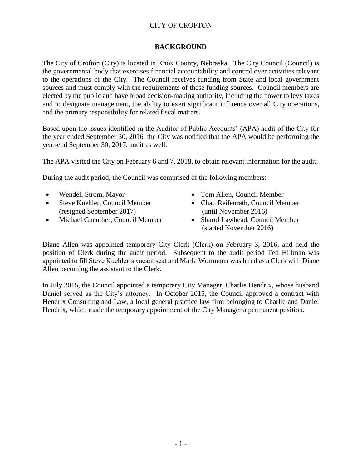# **BACKGROUND**

The City of Crofton (City) is located in Knox County, Nebraska. The City Council (Council) is the governmental body that exercises financial accountability and control over activities relevant to the operations of the City. The Council receives funding from State and local government sources and must comply with the requirements of these funding sources. Council members are elected by the public and have broad decision-making authority, including the power to levy taxes and to designate management, the ability to exert significant influence over all City operations, and the primary responsibility for related fiscal matters.

Based upon the issues identified in the Auditor of Public Accounts' (APA) audit of the City for the year ended September 30, 2016, the City was notified that the APA would be performing the year-end September 30, 2017, audit as well.

The APA visited the City on February 6 and 7, 2018, to obtain relevant information for the audit.

During the audit period, the Council was comprised of the following members:

- 
- Steve Kuehler, Council Member (resigned September 2017)
- Michael Guenther, Council Member
- Wendell Strom, Mayor Tom Allen, Council Member
	- Chad Reifenrath, Council Member (until November 2016)
	- Sharol Lawhead, Council Member (started November 2016)

Diane Allen was appointed temporary City Clerk (Clerk) on February 3, 2016, and held the position of Clerk during the audit period. Subsequent to the audit period Ted Hillman was appointed to fill Steve Kuehler's vacant seat and Marla Wortmann was hired as a Clerk with Diane Allen becoming the assistant to the Clerk.

In July 2015, the Council appointed a temporary City Manager, Charlie Hendrix, whose husband Daniel served as the City's attorney. In October 2015, the Council approved a contract with Hendrix Consulting and Law, a local general practice law firm belonging to Charlie and Daniel Hendrix, which made the temporary appointment of the City Manager a permanent position.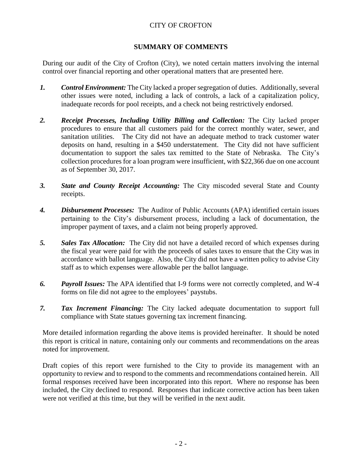# **SUMMARY OF COMMENTS**

During our audit of the City of Crofton (City), we noted certain matters involving the internal control over financial reporting and other operational matters that are presented here.

- *1. Control Environment:* The City lacked a proper segregation of duties. Additionally, several other issues were noted, including a lack of controls, a lack of a capitalization policy, inadequate records for pool receipts, and a check not being restrictively endorsed.
- *2. Receipt Processes, Including Utility Billing and Collection:* The City lacked proper procedures to ensure that all customers paid for the correct monthly water, sewer, and sanitation utilities. The City did not have an adequate method to track customer water deposits on hand, resulting in a \$450 understatement. The City did not have sufficient documentation to support the sales tax remitted to the State of Nebraska. The City's collection procedures for a loan program were insufficient, with \$22,366 due on one account as of September 30, 2017.
- *3. State and County Receipt Accounting:* The City miscoded several State and County receipts.
- *4. Disbursement Processes:* The Auditor of Public Accounts (APA) identified certain issues pertaining to the City's disbursement process, including a lack of documentation, the improper payment of taxes, and a claim not being properly approved.
- *5. Sales Tax Allocation:* The City did not have a detailed record of which expenses during the fiscal year were paid for with the proceeds of sales taxes to ensure that the City was in accordance with ballot language. Also, the City did not have a written policy to advise City staff as to which expenses were allowable per the ballot language.
- *6. Payroll Issues:* The APA identified that I-9 forms were not correctly completed, and W-4 forms on file did not agree to the employees' paystubs.
- *7. Tax Increment Financing:* The City lacked adequate documentation to support full compliance with State statues governing tax increment financing.

More detailed information regarding the above items is provided hereinafter. It should be noted this report is critical in nature, containing only our comments and recommendations on the areas noted for improvement.

Draft copies of this report were furnished to the City to provide its management with an opportunity to review and to respond to the comments and recommendations contained herein. All formal responses received have been incorporated into this report. Where no response has been included, the City declined to respond. Responses that indicate corrective action has been taken were not verified at this time, but they will be verified in the next audit.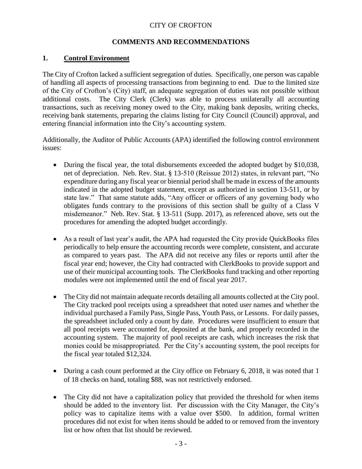# **COMMENTS AND RECOMMENDATIONS**

# **1. Control Environment**

The City of Crofton lacked a sufficient segregation of duties. Specifically, one person was capable of handling all aspects of processing transactions from beginning to end. Due to the limited size of the City of Crofton's (City) staff, an adequate segregation of duties was not possible without additional costs. The City Clerk (Clerk) was able to process unilaterally all accounting transactions, such as receiving money owed to the City, making bank deposits, writing checks, receiving bank statements, preparing the claims listing for City Council (Council) approval, and entering financial information into the City's accounting system.

Additionally, the Auditor of Public Accounts (APA) identified the following control environment issues:

- During the fiscal year, the total disbursements exceeded the adopted budget by \$10,038, net of depreciation. Neb. Rev. Stat. § 13-510 (Reissue 2012) states, in relevant part, "No expenditure during any fiscal year or biennial period shall be made in excess of the amounts indicated in the adopted budget statement, except as authorized in section 13-511, or by state law." That same statute adds, "Any officer or officers of any governing body who obligates funds contrary to the provisions of this section shall be guilty of a Class V misdemeanor." Neb. Rev. Stat. § 13-511 (Supp. 2017), as referenced above, sets out the procedures for amending the adopted budget accordingly.
- As a result of last year's audit, the APA had requested the City provide QuickBooks files periodically to help ensure the accounting records were complete, consistent, and accurate as compared to years past. The APA did not receive any files or reports until after the fiscal year end; however, the City had contracted with ClerkBooks to provide support and use of their municipal accounting tools. The ClerkBooks fund tracking and other reporting modules were not implemented until the end of fiscal year 2017.
- The City did not maintain adequate records detailing all amounts collected at the City pool. The City tracked pool receipts using a spreadsheet that noted user names and whether the individual purchased a Family Pass, Single Pass, Youth Pass, or Lessons. For daily passes, the spreadsheet included only a count by date. Procedures were insufficient to ensure that all pool receipts were accounted for, deposited at the bank, and properly recorded in the accounting system. The majority of pool receipts are cash, which increases the risk that monies could be misappropriated. Per the City's accounting system, the pool receipts for the fiscal year totaled \$12,324.
- During a cash count performed at the City office on February 6, 2018, it was noted that 1 of 18 checks on hand, totaling \$88, was not restrictively endorsed.
- The City did not have a capitalization policy that provided the threshold for when items should be added to the inventory list. Per discussion with the City Manager, the City's policy was to capitalize items with a value over \$500. In addition, formal written procedures did not exist for when items should be added to or removed from the inventory list or how often that list should be reviewed.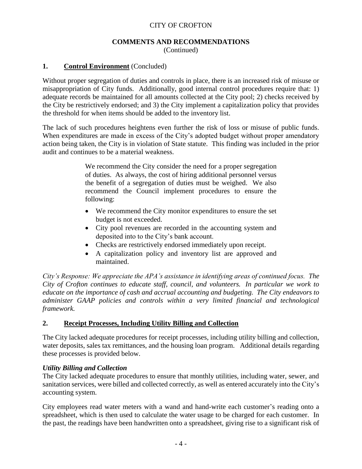#### **COMMENTS AND RECOMMENDATIONS** (Continued)

# **1. Control Environment** (Concluded)

Without proper segregation of duties and controls in place, there is an increased risk of misuse or misappropriation of City funds. Additionally, good internal control procedures require that: 1) adequate records be maintained for all amounts collected at the City pool; 2) checks received by the City be restrictively endorsed; and 3) the City implement a capitalization policy that provides the threshold for when items should be added to the inventory list.

The lack of such procedures heightens even further the risk of loss or misuse of public funds. When expenditures are made in excess of the City's adopted budget without proper amendatory action being taken, the City is in violation of State statute. This finding was included in the prior audit and continues to be a material weakness.

> We recommend the City consider the need for a proper segregation of duties. As always, the cost of hiring additional personnel versus the benefit of a segregation of duties must be weighed. We also recommend the Council implement procedures to ensure the following:

- We recommend the City monitor expenditures to ensure the set budget is not exceeded.
- City pool revenues are recorded in the accounting system and deposited into to the City's bank account.
- Checks are restrictively endorsed immediately upon receipt.
- A capitalization policy and inventory list are approved and maintained.

*City's Response: We appreciate the APA's assistance in identifying areas of continued focus. The City of Crofton continues to educate staff, council, and volunteers. In particular we work to educate on the importance of cash and accrual accounting and budgeting. The City endeavors to administer GAAP policies and controls within a very limited financial and technological framework.* 

# **2. Receipt Processes, Including Utility Billing and Collection**

The City lacked adequate procedures for receipt processes, including utility billing and collection, water deposits, sales tax remittances, and the housing loan program. Additional details regarding these processes is provided below.

# *Utility Billing and Collection*

The City lacked adequate procedures to ensure that monthly utilities, including water, sewer, and sanitation services, were billed and collected correctly, as well as entered accurately into the City's accounting system.

City employees read water meters with a wand and hand-write each customer's reading onto a spreadsheet, which is then used to calculate the water usage to be charged for each customer. In the past, the readings have been handwritten onto a spreadsheet, giving rise to a significant risk of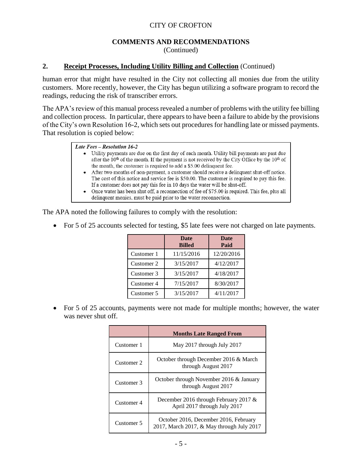#### **COMMENTS AND RECOMMENDATIONS** (Continued)

### **2. Receipt Processes, Including Utility Billing and Collection** (Continued)

human error that might have resulted in the City not collecting all monies due from the utility customers. More recently, however, the City has begun utilizing a software program to record the readings, reducing the risk of transcriber errors.

The APA's review of this manual process revealed a number of problems with the utility fee billing and collection process. In particular, there appears to have been a failure to abide by the provisions of the City's own Resolution 16-2, which sets out procedures for handling late or missed payments. That resolution is copied below:

|  | Late Fees – Resolution 16-2 |  |
|--|-----------------------------|--|
|  |                             |  |

- Utility payments are due on the first day of each month. Utility bill payments are past due after the  $10<sup>th</sup>$  of the month. If the payment is not received by the City Office by the  $10<sup>th</sup>$  of the month, the customer is required to add a \$5.00 delinquent fee.
- After two months of non-payment, a customer should receive a delinquent shut-off notice. The cost of this notice and service fee is \$50.00. The customer is required to pay this fee. If a customer does not pay this fee in 10 days the water will be shut-off.
- Once water has been shut off, a reconnection of fee of \$75.00 is required. This fee, plus all delinquent monies, must be paid prior to the water reconnection.

The APA noted the following failures to comply with the resolution:

• For 5 of 25 accounts selected for testing, \$5 late fees were not charged on late payments.

|            | <b>Date</b><br><b>Billed</b> | <b>Date</b><br>Paid |
|------------|------------------------------|---------------------|
| Customer 1 | 11/15/2016                   | 12/20/2016          |
| Customer 2 | 3/15/2017                    | 4/12/2017           |
| Customer 3 | 3/15/2017                    | 4/18/2017           |
| Customer 4 | 7/15/2017                    | 8/30/2017           |
| Customer 5 | 3/15/2017                    | 4/11/2017           |

 For 5 of 25 accounts, payments were not made for multiple months; however, the water was never shut off.

|            | <b>Months Late Ranged From</b>                                                     |
|------------|------------------------------------------------------------------------------------|
| Customer 1 | May 2017 through July 2017                                                         |
| Customer 2 | October through December 2016 & March<br>through August 2017                       |
| Customer 3 | October through November 2016 & January<br>through August 2017                     |
| Customer 4 | December 2016 through February 2017 $\&$<br>April 2017 through July 2017           |
| Customer 5 | October 2016, December 2016, February<br>2017, March 2017, & May through July 2017 |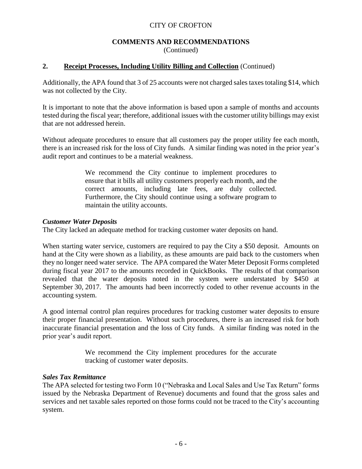#### **COMMENTS AND RECOMMENDATIONS** (Continued)

# **2. Receipt Processes, Including Utility Billing and Collection** (Continued)

Additionally, the APA found that 3 of 25 accounts were not charged sales taxes totaling \$14, which was not collected by the City.

It is important to note that the above information is based upon a sample of months and accounts tested during the fiscal year; therefore, additional issues with the customer utility billings may exist that are not addressed herein.

Without adequate procedures to ensure that all customers pay the proper utility fee each month, there is an increased risk for the loss of City funds. A similar finding was noted in the prior year's audit report and continues to be a material weakness.

> We recommend the City continue to implement procedures to ensure that it bills all utility customers properly each month, and the correct amounts, including late fees, are duly collected. Furthermore, the City should continue using a software program to maintain the utility accounts.

### *Customer Water Deposits*

The City lacked an adequate method for tracking customer water deposits on hand.

When starting water service, customers are required to pay the City a \$50 deposit. Amounts on hand at the City were shown as a liability, as these amounts are paid back to the customers when they no longer need water service. The APA compared the Water Meter Deposit Forms completed during fiscal year 2017 to the amounts recorded in QuickBooks. The results of that comparison revealed that the water deposits noted in the system were understated by \$450 at September 30, 2017. The amounts had been incorrectly coded to other revenue accounts in the accounting system.

A good internal control plan requires procedures for tracking customer water deposits to ensure their proper financial presentation. Without such procedures, there is an increased risk for both inaccurate financial presentation and the loss of City funds. A similar finding was noted in the prior year's audit report.

> We recommend the City implement procedures for the accurate tracking of customer water deposits.

#### *Sales Tax Remittance*

The APA selected for testing two Form 10 ("Nebraska and Local Sales and Use Tax Return" forms issued by the Nebraska Department of Revenue) documents and found that the gross sales and services and net taxable sales reported on those forms could not be traced to the City's accounting system.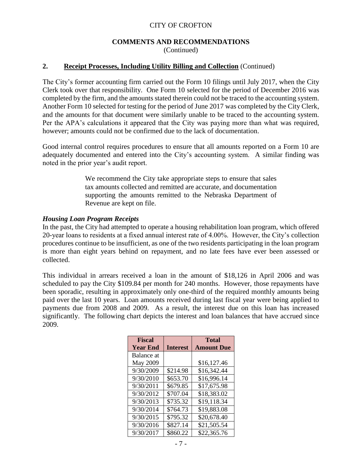#### **COMMENTS AND RECOMMENDATIONS** (Continued)

### **2. Receipt Processes, Including Utility Billing and Collection** (Continued)

The City's former accounting firm carried out the Form 10 filings until July 2017, when the City Clerk took over that responsibility. One Form 10 selected for the period of December 2016 was completed by the firm, and the amounts stated therein could not be traced to the accounting system. Another Form 10 selected for testing for the period of June 2017 was completed by the City Clerk, and the amounts for that document were similarly unable to be traced to the accounting system. Per the APA's calculations it appeared that the City was paying more than what was required, however; amounts could not be confirmed due to the lack of documentation.

Good internal control requires procedures to ensure that all amounts reported on a Form 10 are adequately documented and entered into the City's accounting system. A similar finding was noted in the prior year's audit report.

> We recommend the City take appropriate steps to ensure that sales tax amounts collected and remitted are accurate, and documentation supporting the amounts remitted to the Nebraska Department of Revenue are kept on file.

#### *Housing Loan Program Receipts*

In the past, the City had attempted to operate a housing rehabilitation loan program, which offered 20-year loans to residents at a fixed annual interest rate of 4.00%. However, the City's collection procedures continue to be insufficient, as one of the two residents participating in the loan program is more than eight years behind on repayment, and no late fees have ever been assessed or collected.

This individual in arrears received a loan in the amount of \$18,126 in April 2006 and was scheduled to pay the City \$109.84 per month for 240 months. However, those repayments have been sporadic, resulting in approximately only one-third of the required monthly amounts being paid over the last 10 years. Loan amounts received during last fiscal year were being applied to payments due from 2008 and 2009. As a result, the interest due on this loan has increased significantly. The following chart depicts the interest and loan balances that have accrued since 2009.

| <b>Fiscal</b>   |                 | <b>Total</b>      |
|-----------------|-----------------|-------------------|
| <b>Year End</b> | <b>Interest</b> | <b>Amount Due</b> |
| Balance at      |                 |                   |
| May 2009        |                 | \$16,127.46       |
| 9/30/2009       | \$214.98        | \$16,342.44       |
| 9/30/2010       | \$653.70        | \$16,996.14       |
| 9/30/2011       | \$679.85        | \$17,675.98       |
| 9/30/2012       | \$707.04        | \$18,383.02       |
| 9/30/2013       | \$735.32        | \$19,118.34       |
| 9/30/2014       | \$764.73        | \$19,883.08       |
| 9/30/2015       | \$795.32        | \$20,678.40       |
| 9/30/2016       | \$827.14        | \$21,505.54       |
| 9/30/2017       | \$860.22        | \$22,365.76       |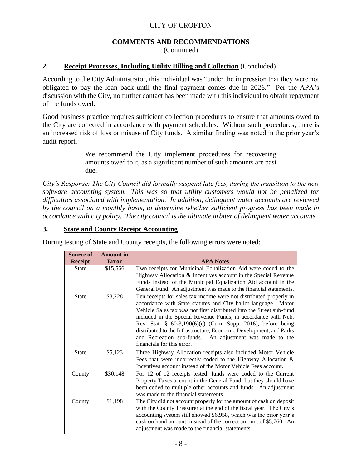#### **COMMENTS AND RECOMMENDATIONS** (Continued)

# **2. Receipt Processes, Including Utility Billing and Collection** (Concluded)

According to the City Administrator, this individual was "under the impression that they were not obligated to pay the loan back until the final payment comes due in 2026." Per the APA's discussion with the City, no further contact has been made with this individual to obtain repayment of the funds owed.

Good business practice requires sufficient collection procedures to ensure that amounts owed to the City are collected in accordance with payment schedules. Without such procedures, there is an increased risk of loss or misuse of City funds. A similar finding was noted in the prior year's audit report.

> We recommend the City implement procedures for recovering amounts owed to it, as a significant number of such amounts are past due.

*City's Response: The City Council did formally suspend late fees, during the transition to the new software accounting system. This was so that utility customers would not be penalized for difficulties associated with implementation. In addition, delinquent water accounts are reviewed by the council on a monthly basis, to determine whether sufficient progress has been made in accordance with city policy. The city council is the ultimate arbiter of delinquent water accounts.*

#### **3. State and County Receipt Accounting**

| <b>Source of</b> | <b>Amount</b> in |                                                                                                                                                                                                                                                                                                                                                                                                                                                                                                                 |  |  |  |  |  |  |
|------------------|------------------|-----------------------------------------------------------------------------------------------------------------------------------------------------------------------------------------------------------------------------------------------------------------------------------------------------------------------------------------------------------------------------------------------------------------------------------------------------------------------------------------------------------------|--|--|--|--|--|--|
| <b>Receipt</b>   | <b>Error</b>     | <b>APA Notes</b>                                                                                                                                                                                                                                                                                                                                                                                                                                                                                                |  |  |  |  |  |  |
| <b>State</b>     | \$15,566         | Two receipts for Municipal Equalization Aid were coded to the<br>Highway Allocation & Incentives account in the Special Revenue<br>Funds instead of the Municipal Equalization Aid account in the<br>General Fund. An adjustment was made to the financial statements.                                                                                                                                                                                                                                          |  |  |  |  |  |  |
| <b>State</b>     | \$8,228          | Ten receipts for sales tax income were not distributed properly in<br>accordance with State statutes and City ballot language. Motor<br>Vehicle Sales tax was not first distributed into the Street sub-fund<br>included in the Special Revenue Funds, in accordance with Neb.<br>Rev. Stat. § 60-3,190(6)(c) (Cum. Supp. 2016), before being<br>distributed to the Infrastructure, Economic Development, and Parks<br>and Recreation sub-funds.<br>An adjustment was made to the<br>financials for this error. |  |  |  |  |  |  |
| <b>State</b>     | \$5,123          | Three Highway Allocation receipts also included Motor Vehicle<br>Fees that were incorrectly coded to the Highway Allocation &<br>Incentives account instead of the Motor Vehicle Fees account.                                                                                                                                                                                                                                                                                                                  |  |  |  |  |  |  |
| County           | \$30,148         | For 12 of 12 receipts tested, funds were coded to the Current<br>Property Taxes account in the General Fund, but they should have<br>been coded to multiple other accounts and funds. An adjustment<br>was made to the financial statements.                                                                                                                                                                                                                                                                    |  |  |  |  |  |  |
| County           | \$1,198          | The City did not account properly for the amount of cash on deposit<br>with the County Treasurer at the end of the fiscal year. The City's<br>accounting system still showed \$6,958, which was the prior year's<br>cash on hand amount, instead of the correct amount of \$5,760. An<br>adjustment was made to the financial statements.                                                                                                                                                                       |  |  |  |  |  |  |

During testing of State and County receipts, the following errors were noted: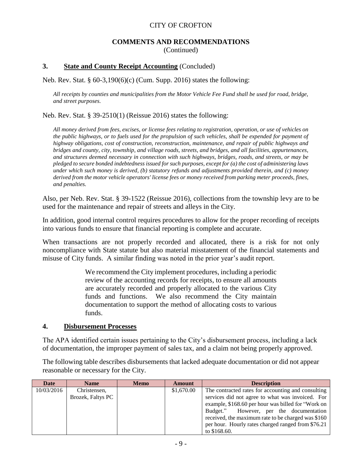#### **COMMENTS AND RECOMMENDATIONS** (Continued)

#### **3. State and County Receipt Accounting** (Concluded)

Neb. Rev. Stat. § 60-3,190(6)(c) (Cum. Supp. 2016) states the following:

*All receipts by counties and municipalities from the Motor Vehicle Fee Fund shall be used for road, bridge, and street purposes.*

Neb. Rev. Stat. § 39-2510(1) (Reissue 2016) states the following:

*All money derived from fees, excises, or license fees relating to registration, operation, or use of vehicles on the public highways, or to fuels used for the propulsion of such vehicles, shall be expended for payment of highway obligations, cost of construction, reconstruction, maintenance, and repair of public highways and bridges and county, city, township, and village roads, streets, and bridges, and all facilities, appurtenances, and structures deemed necessary in connection with such highways, bridges, roads, and streets, or may be pledged to secure bonded indebtedness issued for such purposes, except for (a) the cost of administering laws under which such money is derived, (b) statutory refunds and adjustments provided therein, and (c) money derived from the motor vehicle operators' license fees or money received from parking meter proceeds, fines, and penalties.*

Also, per Neb. Rev. Stat. § 39-1522 (Reissue 2016), collections from the township levy are to be used for the maintenance and repair of streets and alleys in the City.

In addition, good internal control requires procedures to allow for the proper recording of receipts into various funds to ensure that financial reporting is complete and accurate.

When transactions are not properly recorded and allocated, there is a risk for not only noncompliance with State statute but also material misstatement of the financial statements and misuse of City funds. A similar finding was noted in the prior year's audit report.

> We recommend the City implement procedures, including a periodic review of the accounting records for receipts, to ensure all amounts are accurately recorded and properly allocated to the various City funds and functions. We also recommend the City maintain documentation to support the method of allocating costs to various funds.

#### **4. Disbursement Processes**

The APA identified certain issues pertaining to the City's disbursement process, including a lack of documentation, the improper payment of sales tax, and a claim not being properly approved.

The following table describes disbursements that lacked adequate documentation or did not appear reasonable or necessary for the City.

| Date       | <b>Name</b>       | <b>Memo</b> | Amount     | <b>Description</b>                                 |  |  |  |  |  |
|------------|-------------------|-------------|------------|----------------------------------------------------|--|--|--|--|--|
| 10/03/2016 | Christensen.      |             | \$1,670.00 | The contracted rates for accounting and consulting |  |  |  |  |  |
|            | Brozek, Faltys PC |             |            | services did not agree to what was invoiced. For   |  |  |  |  |  |
|            |                   |             |            | example, \$168.60 per hour was billed for "Work on |  |  |  |  |  |
|            |                   |             |            | Budget." However, per the documentation            |  |  |  |  |  |
|            |                   |             |            | received, the maximum rate to be charged was \$160 |  |  |  |  |  |
|            |                   |             |            | per hour. Hourly rates charged ranged from \$76.21 |  |  |  |  |  |
|            |                   |             |            | to \$168.60.                                       |  |  |  |  |  |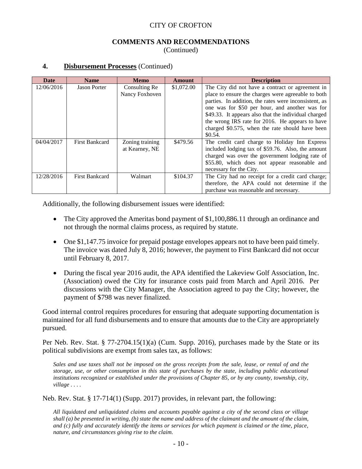#### **COMMENTS AND RECOMMENDATIONS** (Continued)

#### **4. Disbursement Processes** (Continued)

| Date       | <b>Name</b>           | <b>Memo</b>                       | Amount     | <b>Description</b>                                                                                                                                                                                                                                                                                                                                                                           |
|------------|-----------------------|-----------------------------------|------------|----------------------------------------------------------------------------------------------------------------------------------------------------------------------------------------------------------------------------------------------------------------------------------------------------------------------------------------------------------------------------------------------|
| 12/06/2016 | <b>Jason Porter</b>   | Consulting Re<br>Nancy Foxhoven   | \$1,072.00 | The City did not have a contract or agreement in<br>place to ensure the charges were agreeable to both<br>parties. In addition, the rates were inconsistent, as<br>one was for \$50 per hour, and another was for<br>\$49.33. It appears also that the individual charged<br>the wrong IRS rate for 2016. He appears to have<br>charged \$0.575, when the rate should have been<br>$$0.54$ . |
| 04/04/2017 | <b>First Bankcard</b> | Zoning training<br>at Kearney, NE | \$479.56   | The credit card charge to Holiday Inn Express<br>included lodging tax of \$59.76. Also, the amount<br>charged was over the government lodging rate of<br>\$55.80, which does not appear reasonable and<br>necessary for the City.                                                                                                                                                            |
| 12/28/2016 | <b>First Bankcard</b> | Walmart                           | \$104.37   | The City had no receipt for a credit card charge;<br>therefore, the APA could not determine if the<br>purchase was reasonable and necessary.                                                                                                                                                                                                                                                 |

Additionally, the following disbursement issues were identified:

- The City approved the Ameritas bond payment of \$1,100,886.11 through an ordinance and not through the normal claims process, as required by statute.
- One \$1,147.75 invoice for prepaid postage envelopes appears not to have been paid timely. The invoice was dated July 8, 2016; however, the payment to First Bankcard did not occur until February 8, 2017.
- During the fiscal year 2016 audit, the APA identified the Lakeview Golf Association, Inc. (Association) owed the City for insurance costs paid from March and April 2016. Per discussions with the City Manager, the Association agreed to pay the City; however, the payment of \$798 was never finalized.

Good internal control requires procedures for ensuring that adequate supporting documentation is maintained for all fund disbursements and to ensure that amounts due to the City are appropriately pursued.

Per Neb. Rev. Stat. § 77-2704.15(1)(a) (Cum. Supp. 2016), purchases made by the State or its political subdivisions are exempt from sales tax, as follows:

*Sales and use taxes shall not be imposed on the gross receipts from the sale, lease, or rental of and the storage, use, or other consumption in this state of purchases by the state, including public educational institutions recognized or established under the provisions of Chapter 85, or by any county, township, city, village . . . .*

Neb. Rev. Stat. § 17-714(1) (Supp. 2017) provides, in relevant part, the following:

*All liquidated and unliquidated claims and accounts payable against a city of the second class or village shall (a) be presented in writing, (b) state the name and address of the claimant and the amount of the claim, and (c) fully and accurately identify the items or services for which payment is claimed or the time, place, nature, and circumstances giving rise to the claim.*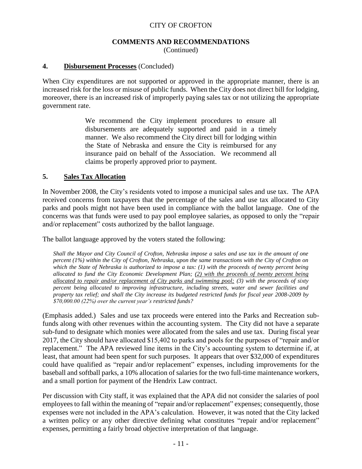#### **COMMENTS AND RECOMMENDATIONS** (Continued)

#### **4. Disbursement Processes** (Concluded)

When City expenditures are not supported or approved in the appropriate manner, there is an increased risk for the loss or misuse of public funds. When the City does not direct bill for lodging, moreover, there is an increased risk of improperly paying sales tax or not utilizing the appropriate government rate.

> We recommend the City implement procedures to ensure all disbursements are adequately supported and paid in a timely manner. We also recommend the City direct bill for lodging within the State of Nebraska and ensure the City is reimbursed for any insurance paid on behalf of the Association. We recommend all claims be properly approved prior to payment.

#### **5. Sales Tax Allocation**

In November 2008, the City's residents voted to impose a municipal sales and use tax. The APA received concerns from taxpayers that the percentage of the sales and use tax allocated to City parks and pools might not have been used in compliance with the ballot language. One of the concerns was that funds were used to pay pool employee salaries, as opposed to only the "repair and/or replacement" costs authorized by the ballot language.

The ballot language approved by the voters stated the following:

*Shall the Mayor and City Council of Crofton, Nebraska impose a sales and use tax in the amount of one percent (1%) within the City of Crofton, Nebraska, upon the same transactions with the City of Crofton on which the State of Nebraska is authorized to impose a tax: (1) with the proceeds of twenty percent being allocated to fund the City Economic Development Plan; (2) with the proceeds of twenty percent being allocated to repair and/or replacement of City parks and swimming pool; (3) with the proceeds of sixty percent being allocated to improving infrastructure, including streets, water and sewer facilities and property tax relief; and shall the City increase its budgeted restricted funds for fiscal year 2008-2009 by \$70,000.00 (22%) over the current year's restricted funds?*

(Emphasis added.) Sales and use tax proceeds were entered into the Parks and Recreation subfunds along with other revenues within the accounting system. The City did not have a separate sub-fund to designate which monies were allocated from the sales and use tax. During fiscal year 2017, the City should have allocated \$15,402 to parks and pools for the purposes of "repair and/or replacement." The APA reviewed line items in the City's accounting system to determine if, at least, that amount had been spent for such purposes. It appears that over \$32,000 of expenditures could have qualified as "repair and/or replacement" expenses, including improvements for the baseball and softball parks, a 10% allocation of salaries for the two full-time maintenance workers, and a small portion for payment of the Hendrix Law contract.

Per discussion with City staff, it was explained that the APA did not consider the salaries of pool employees to fall within the meaning of "repair and/or replacement" expenses; consequently, those expenses were not included in the APA's calculation. However, it was noted that the City lacked a written policy or any other directive defining what constitutes "repair and/or replacement" expenses, permitting a fairly broad objective interpretation of that language.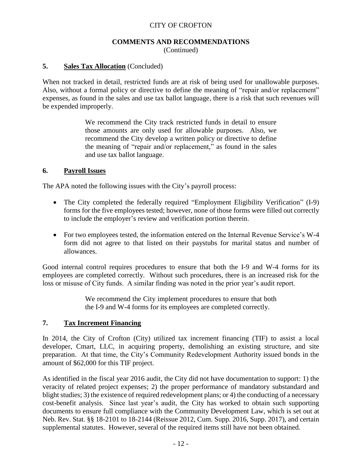#### **COMMENTS AND RECOMMENDATIONS** (Continued)

#### **5. Sales Tax Allocation** (Concluded)

When not tracked in detail, restricted funds are at risk of being used for unallowable purposes. Also, without a formal policy or directive to define the meaning of "repair and/or replacement" expenses, as found in the sales and use tax ballot language, there is a risk that such revenues will be expended improperly.

> We recommend the City track restricted funds in detail to ensure those amounts are only used for allowable purposes. Also, we recommend the City develop a written policy or directive to define the meaning of "repair and/or replacement," as found in the sales and use tax ballot language.

#### **6. Payroll Issues**

The APA noted the following issues with the City's payroll process:

- The City completed the federally required "Employment Eligibility Verification" (I-9) forms for the five employees tested; however, none of those forms were filled out correctly to include the employer's review and verification portion therein.
- For two employees tested, the information entered on the Internal Revenue Service's W-4 form did not agree to that listed on their paystubs for marital status and number of allowances.

Good internal control requires procedures to ensure that both the I-9 and W-4 forms for its employees are completed correctly. Without such procedures, there is an increased risk for the loss or misuse of City funds. A similar finding was noted in the prior year's audit report.

> We recommend the City implement procedures to ensure that both the I-9 and W-4 forms for its employees are completed correctly.

#### **7. Tax Increment Financing**

In 2014, the City of Crofton (City) utilized tax increment financing (TIF) to assist a local developer, Cmart, LLC, in acquiring property, demolishing an existing structure, and site preparation. At that time, the City's Community Redevelopment Authority issued bonds in the amount of \$62,000 for this TIF project.

As identified in the fiscal year 2016 audit, the City did not have documentation to support: 1) the veracity of related project expenses; 2) the proper performance of mandatory substandard and blight studies; 3) the existence of required redevelopment plans; or 4) the conducting of a necessary cost-benefit analysis. Since last year's audit, the City has worked to obtain such supporting documents to ensure full compliance with the Community Development Law, which is set out at Neb. Rev. Stat. §§ 18-2101 to 18-2144 (Reissue 2012, Cum. Supp. 2016, Supp. 2017), and certain supplemental statutes. However, several of the required items still have not been obtained.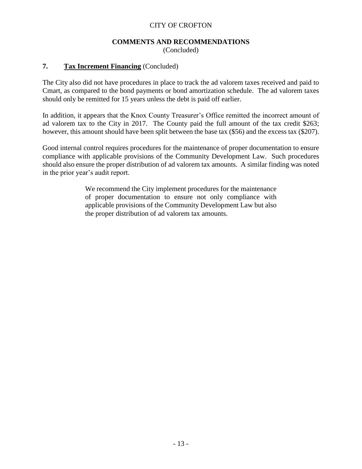#### **COMMENTS AND RECOMMENDATIONS** (Concluded)

# **7. Tax Increment Financing** (Concluded)

The City also did not have procedures in place to track the ad valorem taxes received and paid to Cmart, as compared to the bond payments or bond amortization schedule. The ad valorem taxes should only be remitted for 15 years unless the debt is paid off earlier.

In addition, it appears that the Knox County Treasurer's Office remitted the incorrect amount of ad valorem tax to the City in 2017. The County paid the full amount of the tax credit \$263; however, this amount should have been split between the base tax (\$56) and the excess tax (\$207).

Good internal control requires procedures for the maintenance of proper documentation to ensure compliance with applicable provisions of the Community Development Law. Such procedures should also ensure the proper distribution of ad valorem tax amounts. A similar finding was noted in the prior year's audit report.

> We recommend the City implement procedures for the maintenance of proper documentation to ensure not only compliance with applicable provisions of the Community Development Law but also the proper distribution of ad valorem tax amounts.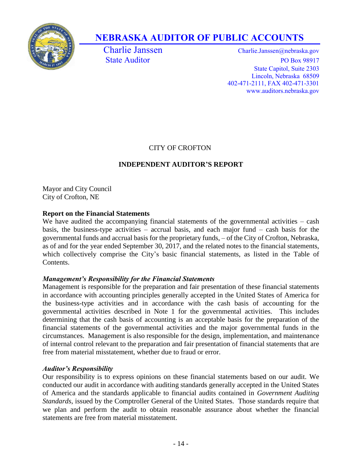

# **NEBRASKA AUDITOR OF PUBLIC ACCOUNTS**

Charlie Janssen Charlie.Janssen @nebraska.gov State Auditor PO Box 98917 State Capitol, Suite 2303 Lincoln, Nebraska 68509 402-471-2111, FAX 402-471-3301 www.auditors.nebraska.gov

# CITY OF CROFTON

# **INDEPENDENT AUDITOR'S REPORT**

Mayor and City Council City of Crofton, NE

# **Report on the Financial Statements**

We have audited the accompanying financial statements of the governmental activities – cash basis, the business-type activities – accrual basis, and each major fund – cash basis for the governmental funds and accrual basis for the proprietary funds, – of the City of Crofton, Nebraska, as of and for the year ended September 30, 2017, and the related notes to the financial statements, which collectively comprise the City's basic financial statements, as listed in the Table of Contents.

# *Management's Responsibility for the Financial Statements*

Management is responsible for the preparation and fair presentation of these financial statements in accordance with accounting principles generally accepted in the United States of America for the business-type activities and in accordance with the cash basis of accounting for the governmental activities described in Note 1 for the governmental activities. This includes determining that the cash basis of accounting is an acceptable basis for the preparation of the financial statements of the governmental activities and the major governmental funds in the circumstances. Management is also responsible for the design, implementation, and maintenance of internal control relevant to the preparation and fair presentation of financial statements that are free from material misstatement, whether due to fraud or error.

# *Auditor's Responsibility*

Our responsibility is to express opinions on these financial statements based on our audit. We conducted our audit in accordance with auditing standards generally accepted in the United States of America and the standards applicable to financial audits contained in *Government Auditing Standards*, issued by the Comptroller General of the United States. Those standards require that we plan and perform the audit to obtain reasonable assurance about whether the financial statements are free from material misstatement.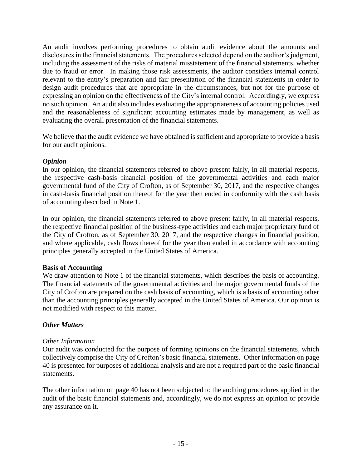An audit involves performing procedures to obtain audit evidence about the amounts and disclosures in the financial statements. The procedures selected depend on the auditor's judgment, including the assessment of the risks of material misstatement of the financial statements, whether due to fraud or error. In making those risk assessments, the auditor considers internal control relevant to the entity's preparation and fair presentation of the financial statements in order to design audit procedures that are appropriate in the circumstances, but not for the purpose of expressing an opinion on the effectiveness of the City's internal control. Accordingly, we express no such opinion. An audit also includes evaluating the appropriateness of accounting policies used and the reasonableness of significant accounting estimates made by management, as well as evaluating the overall presentation of the financial statements.

We believe that the audit evidence we have obtained is sufficient and appropriate to provide a basis for our audit opinions.

### *Opinion*

In our opinion, the financial statements referred to above present fairly, in all material respects, the respective cash-basis financial position of the governmental activities and each major governmental fund of the City of Crofton, as of September 30, 2017, and the respective changes in cash-basis financial position thereof for the year then ended in conformity with the cash basis of accounting described in Note 1.

In our opinion, the financial statements referred to above present fairly, in all material respects, the respective financial position of the business-type activities and each major proprietary fund of the City of Crofton, as of September 30, 2017, and the respective changes in financial position, and where applicable, cash flows thereof for the year then ended in accordance with accounting principles generally accepted in the United States of America.

#### **Basis of Accounting**

We draw attention to Note 1 of the financial statements, which describes the basis of accounting. The financial statements of the governmental activities and the major governmental funds of the City of Crofton are prepared on the cash basis of accounting, which is a basis of accounting other than the accounting principles generally accepted in the United States of America. Our opinion is not modified with respect to this matter.

# *Other Matters*

#### *Other Information*

Our audit was conducted for the purpose of forming opinions on the financial statements, which collectively comprise the City of Crofton's basic financial statements. Other information on page 40 is presented for purposes of additional analysis and are not a required part of the basic financial statements.

The other information on page 40 has not been subjected to the auditing procedures applied in the audit of the basic financial statements and, accordingly, we do not express an opinion or provide any assurance on it.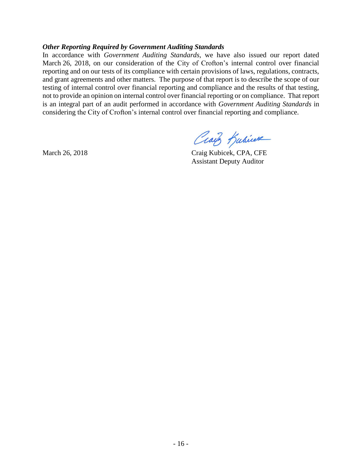#### *Other Reporting Required by Government Auditing Standards*

In accordance with *Government Auditing Standards*, we have also issued our report dated March 26, 2018, on our consideration of the City of Crofton's internal control over financial reporting and on our tests of its compliance with certain provisions of laws, regulations, contracts, and grant agreements and other matters. The purpose of that report is to describe the scope of our testing of internal control over financial reporting and compliance and the results of that testing, not to provide an opinion on internal control over financial reporting or on compliance. That report is an integral part of an audit performed in accordance with *Government Auditing Standards* in considering the City of Crofton's internal control over financial reporting and compliance.

Craig Kubicere

March 26, 2018 Craig Kubicek, CPA, CFE Assistant Deputy Auditor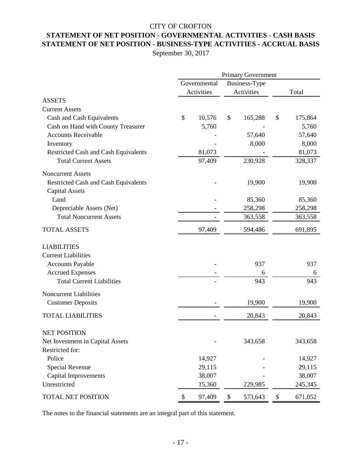# **STATEMENT OF NET POSITION - GOVERNMENTAL ACTIVITIES - CASH BASIS** CITY OF CROFTON **STATEMENT OF NET POSITION - BUSINESS-TYPE ACTIVITIES - ACCRUAL BASIS**

September 30, 2017

|                                                                      | <b>Primary Government</b> |              |    |               |       |         |
|----------------------------------------------------------------------|---------------------------|--------------|----|---------------|-------|---------|
|                                                                      |                           | Governmental |    | Business-Type |       |         |
|                                                                      | Activities                |              |    | Activities    | Total |         |
| <b>ASSETS</b>                                                        |                           |              |    |               |       |         |
| <b>Current Assets</b>                                                |                           |              |    |               |       |         |
| Cash and Cash Equivalents                                            | \$                        | 10,576       | \$ | 165,288       | \$    | 175,864 |
| Cash on Hand with County Treasurer                                   |                           | 5,760        |    |               |       | 5,760   |
| <b>Accounts Receivable</b>                                           |                           |              |    | 57,640        |       | 57,640  |
| Inventory                                                            |                           |              |    | 8,000         |       | 8,000   |
| Restricted Cash and Cash Equivalents                                 |                           | 81,073       |    |               |       | 81,073  |
| <b>Total Current Assets</b>                                          |                           | 97,409       |    | 230,928       |       | 328,337 |
| <b>Noncurrent Assets</b>                                             |                           |              |    |               |       |         |
| <b>Restricted Cash and Cash Equivalents</b><br><b>Capital Assets</b> |                           |              |    | 19,900        |       | 19,900  |
| Land                                                                 |                           |              |    | 85,360        |       | 85,360  |
| Depreciable Assets (Net)                                             |                           |              |    | 258,298       |       | 258,298 |
| <b>Total Noncurrent Assets</b>                                       |                           |              |    | 363,558       |       | 363,558 |
| <b>TOTAL ASSETS</b>                                                  |                           | 97,409       |    | 594,486       |       | 691,895 |
| <b>LIABILITIES</b>                                                   |                           |              |    |               |       |         |
| <b>Current Liabilities</b>                                           |                           |              |    |               |       |         |
| <b>Accounts Payable</b>                                              |                           |              |    | 937           |       | 937     |
| <b>Accrued Expenses</b>                                              |                           |              |    | 6             |       | 6       |
| <b>Total Current Liabilities</b>                                     |                           |              |    | 943           |       | 943     |
| <b>Noncurrent Liabilities</b>                                        |                           |              |    |               |       |         |
| <b>Customer Deposits</b>                                             |                           |              |    | 19,900        |       | 19,900  |
| <b>TOTAL LIABILITIES</b>                                             |                           |              |    | 20,843        |       | 20,843  |
| <b>NET POSITION</b>                                                  |                           |              |    |               |       |         |
| Net Investment in Capital Assets                                     |                           |              |    | 343,658       |       | 343,658 |
| Restricted for:                                                      |                           |              |    |               |       |         |
| Police                                                               |                           | 14,927       |    |               |       | 14,927  |
| Special Revenue                                                      |                           | 29,115       |    |               |       | 29,115  |
| <b>Capital Improvements</b>                                          |                           | 38,007       |    |               |       | 38,007  |
| Unrestricted                                                         |                           | 15,360       |    | 229,985       |       | 245,345 |
| TOTAL NET POSITION                                                   | \$                        | 97,409       | \$ | 573,643       | \$    | 671,052 |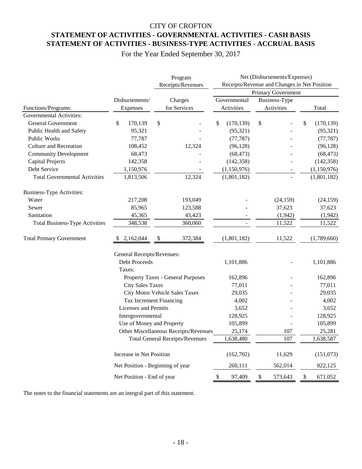# CITY OF CROFTON **STATEMENT OF ACTIVITIES - GOVERNMENTAL ACTIVITIES - CASH BASIS STATEMENT OF ACTIVITIES - BUSINESS-TYPE ACTIVITIES - ACCRUAL BASIS**

For the Year Ended September 30, 2017

|                                       |                                  |           | Program<br>Receipts/Revenues           | Net (Disbursements/Expenses)<br>Receipts/Revenue and Changes in Net Position<br>Primary Government |                             |           |                  |  |  |
|---------------------------------------|----------------------------------|-----------|----------------------------------------|----------------------------------------------------------------------------------------------------|-----------------------------|-----------|------------------|--|--|
|                                       |                                  |           |                                        |                                                                                                    |                             |           |                  |  |  |
| Functions/Programs:                   | Disbursements/<br>Expenses       |           | Charges<br>for Services                | Governmental<br>Activities                                                                         | Business-Type<br>Activities |           | Total            |  |  |
| Governmental Activities:              |                                  |           |                                        |                                                                                                    |                             |           |                  |  |  |
| <b>General Government</b>             | \$<br>170,139                    | \$        |                                        | \$<br>(170, 139)                                                                                   | \$                          |           | \$<br>(170, 139) |  |  |
| Public Health and Safety              | 95,321                           |           |                                        | (95, 321)                                                                                          |                             |           | (95, 321)        |  |  |
| <b>Public Works</b>                   | 77,787                           |           |                                        | (77, 787)                                                                                          |                             |           | (77, 787)        |  |  |
| <b>Culture and Recreation</b>         | 108,452                          |           | 12,324                                 | (96, 128)                                                                                          |                             |           | (96, 128)        |  |  |
| <b>Community Development</b>          | 68,473                           |           |                                        | (68, 473)                                                                                          |                             |           | (68, 473)        |  |  |
| <b>Capital Projects</b>               | 142,358                          |           |                                        | (142, 358)                                                                                         |                             |           | (142, 358)       |  |  |
| Debt Service                          | 1,150,976                        |           |                                        | (1,150,976)                                                                                        |                             |           | (1,150,976)      |  |  |
| <b>Total Governmental Activities</b>  | 1,813,506                        |           | 12,324                                 | (1,801,182)                                                                                        |                             |           | (1,801,182)      |  |  |
| <b>Business-Type Activities:</b>      |                                  |           |                                        |                                                                                                    |                             |           |                  |  |  |
| Water                                 | 217,208                          |           | 193,049                                |                                                                                                    |                             | (24, 159) | (24, 159)        |  |  |
| Sewer                                 | 85,965                           |           | 123,588                                |                                                                                                    |                             | 37,623    | 37,623           |  |  |
| Sanitation                            | 45,365                           |           | 43,423                                 |                                                                                                    |                             | (1,942)   | (1,942)          |  |  |
| <b>Total Business-Type Activities</b> | 348,538                          |           | 360,060                                |                                                                                                    |                             | 11,522    | 11,522           |  |  |
| <b>Total Primary Government</b>       | 2,162,044                        | \$        | 372,384                                | (1,801,182)                                                                                        |                             | 11,522    | (1,789,660)      |  |  |
|                                       | General Receipts/Revenues:       |           |                                        |                                                                                                    |                             |           |                  |  |  |
|                                       | Debt Proceeds                    |           |                                        | 1,101,886                                                                                          |                             |           | 1,101,886        |  |  |
|                                       | Taxes:                           |           |                                        |                                                                                                    |                             |           |                  |  |  |
|                                       |                                  |           | Property Taxes - General Purposes      | 162,896                                                                                            |                             |           | 162,896          |  |  |
|                                       | <b>City Sales Taxes</b>          |           |                                        | 77,011                                                                                             |                             |           | 77,011           |  |  |
|                                       | City Motor Vehicle Sales Taxes   |           |                                        | 29,035                                                                                             |                             |           | 29,035           |  |  |
|                                       | Tax Increment Financing          |           |                                        | 4,002                                                                                              |                             |           | 4,002            |  |  |
|                                       | <b>Licenses and Permits</b>      |           |                                        | 3,652                                                                                              |                             |           | 3,652            |  |  |
|                                       | Intergovernmental                |           |                                        | 128,925                                                                                            |                             |           | 128,925          |  |  |
|                                       | Use of Money and Property        |           |                                        | 105,899                                                                                            |                             |           | 105,899          |  |  |
|                                       |                                  |           | Other Miscellaneous Receipts/Revenues  | 25,174                                                                                             |                             | 107       | 25,281           |  |  |
|                                       |                                  |           | <b>Total General Receipts/Revenues</b> | 1,638,480                                                                                          |                             | $107\,$   | 1,638,587        |  |  |
|                                       | Increase in Net Position         | (162,702) |                                        | 11,629                                                                                             | (151,073)                   |           |                  |  |  |
|                                       | Net Position - Beginning of year |           |                                        | 260,111                                                                                            |                             | 562,014   | 822,125          |  |  |
|                                       | Net Position - End of year       |           |                                        | 97,409<br>\$                                                                                       | \$                          | 573,643   | 671,052<br>\$    |  |  |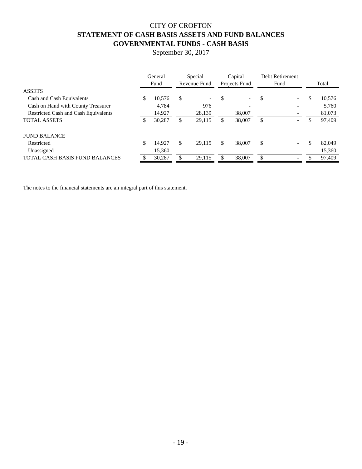# CITY OF CROFTON **STATEMENT OF CASH BASIS ASSETS AND FUND BALANCES GOVERNMENTAL FUNDS - CASH BASIS**

September 30, 2017

|                                       | General<br>Fund |    | Special<br>Revenue Fund  |   | Capital<br>Projects Fund |               | Debt Retirement<br>Fund  | Total        |
|---------------------------------------|-----------------|----|--------------------------|---|--------------------------|---------------|--------------------------|--------------|
| <b>ASSETS</b>                         |                 |    |                          |   |                          |               |                          |              |
| Cash and Cash Equivalents             | \$<br>10,576    | S  | $\overline{\phantom{0}}$ |   | $\overline{\phantom{0}}$ | <sup>\$</sup> | $\overline{\phantom{0}}$ | \$<br>10,576 |
| Cash on Hand with County Treasurer    | 4,784           |    | 976                      |   | -                        |               |                          | 5,760        |
| Restricted Cash and Cash Equivalents  | 14,927          |    | 28,139                   |   | 38,007                   |               |                          | 81,073       |
| <b>TOTAL ASSETS</b>                   | 30,287          |    | 29.115                   |   | 38,007                   |               | $\overline{\phantom{a}}$ | 97,409       |
| <b>FUND BALANCE</b>                   |                 |    |                          |   |                          |               |                          |              |
| Restricted                            | \$<br>14.927    | \$ | 29.115                   | S | 38,007                   | \$            |                          | \$<br>82,049 |
| Unassigned                            | 15,360          |    | $\qquad \qquad$          |   |                          |               |                          | 15,360       |
| <b>TOTAL CASH BASIS FUND BALANCES</b> | 30,287          |    | 29,115                   |   | 38,007                   | \$            |                          | 97,409       |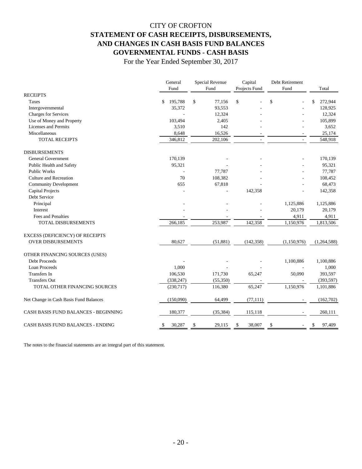# CITY OF CROFTON **STATEMENT OF CASH RECEIPTS, DISBURSEMENTS, AND CHANGES IN CASH BASIS FUND BALANCES GOVERNMENTAL FUNDS - CASH BASIS**

For the Year Ended September 30, 2017

|                                          | General<br>Fund | Special Revenue<br>Fund | Capital<br>Projects Fund | Debt Retirement<br>Fund | Total         |  |
|------------------------------------------|-----------------|-------------------------|--------------------------|-------------------------|---------------|--|
| <b>RECEIPTS</b>                          |                 |                         |                          |                         |               |  |
| Taxes                                    | 195,788<br>\$   | \$<br>77,156            | \$                       | \$                      | 272,944<br>\$ |  |
| Intergovernmental                        | 35,372          | 93,553                  |                          |                         | 128,925       |  |
| <b>Charges for Services</b>              | ÷.              | 12,324                  |                          |                         | 12,324        |  |
| Use of Money and Property                | 103,494         | 2,405                   |                          |                         | 105,899       |  |
| <b>Licenses and Permits</b>              | 3,510           | 142                     |                          |                         | 3,652         |  |
| Miscellaneous                            | 8,648           | 16,526                  |                          |                         | 25,174        |  |
| <b>TOTAL RECEIPTS</b>                    | 346,812         | 202,106                 | ÷,                       | $\sim$                  | 548,918       |  |
| <b>DISBURSEMENTS</b>                     |                 |                         |                          |                         |               |  |
| <b>General Government</b>                | 170,139         |                         |                          |                         | 170,139       |  |
| Public Health and Safety                 | 95,321          |                         |                          |                         | 95,321        |  |
| <b>Public Works</b>                      |                 | 77,787                  |                          |                         | 77,787        |  |
| <b>Culture and Recreation</b>            | 70              | 108,382                 |                          |                         | 108,452       |  |
| <b>Community Development</b>             | 655             | 67,818                  |                          |                         | 68,473        |  |
| Capital Projects                         |                 |                         | 142,358                  |                         | 142,358       |  |
| Debt Service                             |                 |                         |                          |                         |               |  |
| Principal                                |                 |                         |                          | 1,125,886               | 1,125,886     |  |
| Interest                                 |                 |                         |                          | 20,179                  | 20,179        |  |
| Fees and Penalties                       |                 |                         |                          | 4,911                   | 4,911         |  |
| <b>TOTAL DISBURSEMENTS</b>               | 266,185         | 253,987                 | 142,358                  | 1,150,976               | 1,813,506     |  |
| <b>EXCESS (DEFICIENCY) OF RECEIPTS</b>   |                 |                         |                          |                         |               |  |
| <b>OVER DISBURSEMENTS</b>                | 80,627          | (51, 881)               | (142, 358)               | (1,150,976)             | (1,264,588)   |  |
| OTHER FINANCING SOURCES (USES)           |                 |                         |                          |                         |               |  |
| Debt Proceeds                            |                 |                         |                          | 1,100,886               | 1,100,886     |  |
| <b>Loan Proceeds</b>                     | 1,000           |                         |                          |                         | 1,000         |  |
| <b>Transfers</b> In                      | 106,530         | 171,730                 | 65,247                   | 50,090                  | 393,597       |  |
| <b>Transfers Out</b>                     | (338, 247)      | (55,350)                |                          |                         | (393, 597)    |  |
| TOTAL OTHER FINANCING SOURCES            | (230,717)       | 116,380                 | 65,247                   | 1,150,976               | 1,101,886     |  |
| Net Change in Cash Basis Fund Balances   | (150,090)       | 64,499                  | (77, 111)                |                         | (162,702)     |  |
| CASH BASIS FUND BALANCES - BEGINNING     | 180,377         | (35, 384)               | 115,118                  |                         | 260,111       |  |
| <b>CASH BASIS FUND BALANCES - ENDING</b> | 30,287<br>\$    | 29,115<br>\$            | 38,007<br>S              | S                       | 97,409<br>S   |  |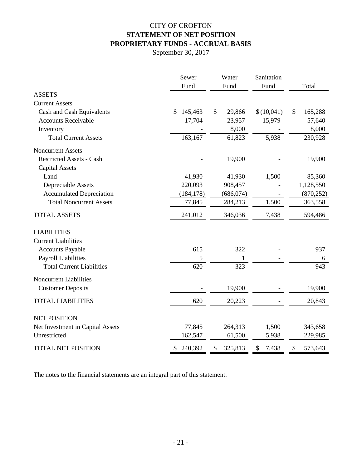# CITY OF CROFTON **STATEMENT OF NET POSITION PROPRIETARY FUNDS - ACCRUAL BASIS**

September 30, 2017

|                                  | Sewer         | Water         | Sanitation  |               |
|----------------------------------|---------------|---------------|-------------|---------------|
|                                  | Fund          | Fund          | Fund        | Total         |
| <b>ASSETS</b>                    |               |               |             |               |
| <b>Current Assets</b>            |               |               |             |               |
| Cash and Cash Equivalents        | \$<br>145,463 | \$<br>29,866  | \$(10,041)  | \$<br>165,288 |
| <b>Accounts Receivable</b>       | 17,704        | 23,957        | 15,979      | 57,640        |
| Inventory                        |               | 8,000         |             | 8,000         |
| <b>Total Current Assets</b>      | 163,167       | 61,823        | 5,938       | 230,928       |
| Noncurrent Assets                |               |               |             |               |
| <b>Restricted Assets - Cash</b>  |               | 19,900        |             | 19,900        |
| <b>Capital Assets</b>            |               |               |             |               |
| Land                             | 41,930        | 41,930        | 1,500       | 85,360        |
| Depreciable Assets               | 220,093       | 908,457       |             | 1,128,550     |
| <b>Accumulated Depreciation</b>  | (184, 178)    | (686, 074)    |             | (870, 252)    |
| <b>Total Noncurrent Assets</b>   | 77,845        | 284,213       | 1,500       | 363,558       |
| <b>TOTAL ASSETS</b>              | 241,012       | 346,036       | 7,438       | 594,486       |
| <b>LIABILITIES</b>               |               |               |             |               |
| <b>Current Liabilities</b>       |               |               |             |               |
| <b>Accounts Payable</b>          | 615           | 322           |             | 937           |
| <b>Payroll Liabilities</b>       | 5             |               |             | 6             |
| <b>Total Current Liabilities</b> | 620           | 323           |             | 943           |
| Noncurrent Liabilities           |               |               |             |               |
| <b>Customer Deposits</b>         |               | 19,900        |             | 19,900        |
| <b>TOTAL LIABILITIES</b>         | 620           | 20,223        |             | 20,843        |
| <b>NET POSITION</b>              |               |               |             |               |
| Net Investment in Capital Assets | 77,845        | 264,313       | 1,500       | 343,658       |
| Unrestricted                     | 162,547       | 61,500        | 5,938       | 229,985       |
| <b>TOTAL NET POSITION</b>        | 240,392<br>\$ | 325,813<br>\$ | 7,438<br>\$ | 573,643<br>\$ |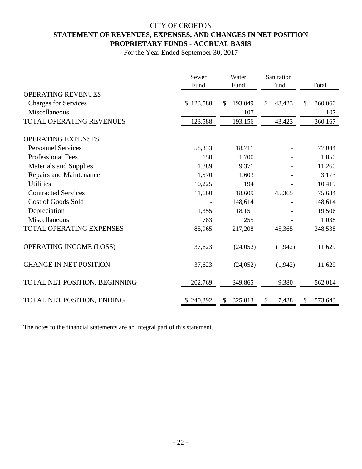# CITY OF CROFTON **STATEMENT OF REVENUES, EXPENSES, AND CHANGES IN NET POSITION PROPRIETARY FUNDS - ACCRUAL BASIS**

For the Year Ended September 30, 2017

|                                 | Sewer<br>Fund | Water<br>Fund | Sanitation<br>Fund | Total         |
|---------------------------------|---------------|---------------|--------------------|---------------|
| <b>OPERATING REVENUES</b>       |               |               |                    |               |
| <b>Charges for Services</b>     | \$123,588     | 193,049<br>\$ | 43,423<br>\$       | 360,060<br>\$ |
| Miscellaneous                   |               | 107           |                    | 107           |
| TOTAL OPERATING REVENUES        | 123,588       | 193,156       | 43,423             | 360,167       |
| <b>OPERATING EXPENSES:</b>      |               |               |                    |               |
| <b>Personnel Services</b>       | 58,333        | 18,711        |                    | 77,044        |
| <b>Professional Fees</b>        | 150           | 1,700         |                    | 1,850         |
| <b>Materials and Supplies</b>   | 1,889         | 9,371         |                    | 11,260        |
| Repairs and Maintenance         | 1,570         | 1,603         |                    | 3,173         |
| <b>Utilities</b>                | 10,225        | 194           |                    | 10,419        |
| <b>Contracted Services</b>      | 11,660        | 18,609        | 45,365             | 75,634        |
| <b>Cost of Goods Sold</b>       |               | 148,614       |                    | 148,614       |
| Depreciation                    | 1,355         | 18,151        |                    | 19,506        |
| Miscellaneous                   | 783           | 255           |                    | 1,038         |
| <b>TOTAL OPERATING EXPENSES</b> | 85,965        | 217,208       | 45,365             | 348,538       |
| OPERATING INCOME (LOSS)         | 37,623        | (24, 052)     | (1,942)            | 11,629        |
| <b>CHANGE IN NET POSITION</b>   | 37,623        | (24,052)      | (1,942)            | 11,629        |
| TOTAL NET POSITION, BEGINNING   | 202,769       | 349,865       | 9,380              | 562,014       |
| TOTAL NET POSITION, ENDING      | \$240,392     | 325,813<br>S  | 7,438<br>\$        | 573,643<br>\$ |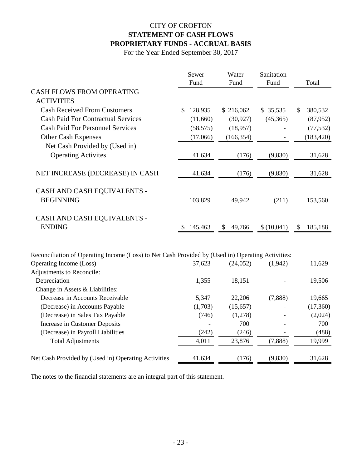# CITY OF CROFTON **STATEMENT OF CASH FLOWS PROPRIETARY FUNDS - ACCRUAL BASIS**

For the Year Ended September 30, 2017

|                                                                                                   | Sewer         | Water        | Sanitation |               |
|---------------------------------------------------------------------------------------------------|---------------|--------------|------------|---------------|
|                                                                                                   | Fund          | Fund         | Fund       | Total         |
| <b>CASH FLOWS FROM OPERATING</b>                                                                  |               |              |            |               |
| <b>ACTIVITIES</b>                                                                                 |               |              |            |               |
| <b>Cash Received From Customers</b>                                                               | 128,935<br>\$ | \$216,062    | \$35,535   | \$<br>380,532 |
| <b>Cash Paid For Contractual Services</b>                                                         | (11,660)      | (30, 927)    | (45,365)   | (87, 952)     |
| <b>Cash Paid For Personnel Services</b>                                                           | (58, 575)     | (18,957)     |            | (77, 532)     |
| <b>Other Cash Expenses</b>                                                                        | (17,066)      | (166, 354)   |            | (183, 420)    |
| Net Cash Provided by (Used in)                                                                    |               |              |            |               |
| <b>Operating Activites</b>                                                                        | 41,634        | (176)        | (9,830)    | 31,628        |
| NET INCREASE (DECREASE) IN CASH                                                                   | 41,634        | (176)        | (9, 830)   | 31,628        |
| CASH AND CASH EQUIVALENTS -                                                                       |               |              |            |               |
| <b>BEGINNING</b>                                                                                  | 103,829       | 49,942       | (211)      | 153,560       |
| CASH AND CASH EQUIVALENTS -                                                                       |               |              |            |               |
| <b>ENDING</b>                                                                                     | 145,463<br>Ÿ. | 49,766<br>\$ | \$(10,041) | 185,188<br>\$ |
| Reconciliation of Operating Income (Loss) to Net Cash Provided by (Used in) Operating Activities: |               |              |            |               |
| Operating Income (Loss)                                                                           | 37,623        | (24, 052)    | (1,942)    | 11,629        |
| Adjustments to Reconcile:                                                                         |               |              |            |               |
| Depreciation                                                                                      | 1,355         | 18,151       |            | 19,506        |
| Change in Assets & Liabilities:                                                                   |               |              |            |               |
| Decrease in Accounts Receivable                                                                   | 5,347         | 22,206       | (7,888)    | 19,665        |
| (Decrease) in Accounts Payable                                                                    | (1,703)       | (15, 657)    |            | (17,360)      |
| (Decrease) in Sales Tax Payable                                                                   | (746)         | (1,278)      |            | (2,024)       |
| Increase in Customer Deposits                                                                     |               | 700          |            | 700           |
| (Decrease) in Payroll Liabilities                                                                 | (242)         | (246)        |            | (488)         |
| <b>Total Adjustments</b>                                                                          | 4,011         | 23,876       | (7,888)    | 19,999        |
| Net Cash Provided by (Used in) Operating Activities                                               | 41,634        | (176)        | (9,830)    | 31,628        |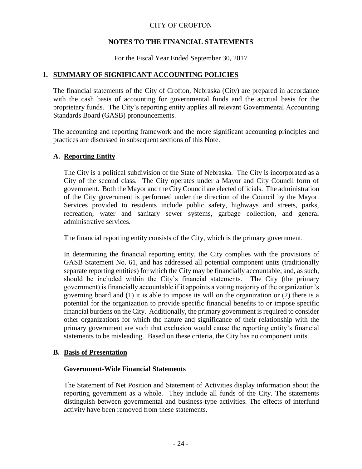# **NOTES TO THE FINANCIAL STATEMENTS**

For the Fiscal Year Ended September 30, 2017

# **1. SUMMARY OF SIGNIFICANT ACCOUNTING POLICIES**

The financial statements of the City of Crofton, Nebraska (City) are prepared in accordance with the cash basis of accounting for governmental funds and the accrual basis for the proprietary funds. The City's reporting entity applies all relevant Governmental Accounting Standards Board (GASB) pronouncements.

The accounting and reporting framework and the more significant accounting principles and practices are discussed in subsequent sections of this Note.

### **A. Reporting Entity**

The City is a political subdivision of the State of Nebraska. The City is incorporated as a City of the second class. The City operates under a Mayor and City Council form of government. Both the Mayor and the City Council are elected officials. The administration of the City government is performed under the direction of the Council by the Mayor. Services provided to residents include public safety, highways and streets, parks, recreation, water and sanitary sewer systems, garbage collection, and general administrative services.

The financial reporting entity consists of the City, which is the primary government.

In determining the financial reporting entity, the City complies with the provisions of GASB Statement No. 61, and has addressed all potential component units (traditionally separate reporting entities) for which the City may be financially accountable, and, as such, should be included within the City's financial statements. The City (the primary government) is financially accountable if it appoints a voting majority of the organization's governing board and (1) it is able to impose its will on the organization or (2) there is a potential for the organization to provide specific financial benefits to or impose specific financial burdens on the City. Additionally, the primary government is required to consider other organizations for which the nature and significance of their relationship with the primary government are such that exclusion would cause the reporting entity's financial statements to be misleading. Based on these criteria, the City has no component units.

#### **B. Basis of Presentation**

#### **Government-Wide Financial Statements**

The Statement of Net Position and Statement of Activities display information about the reporting government as a whole. They include all funds of the City. The statements distinguish between governmental and business-type activities. The effects of interfund activity have been removed from these statements.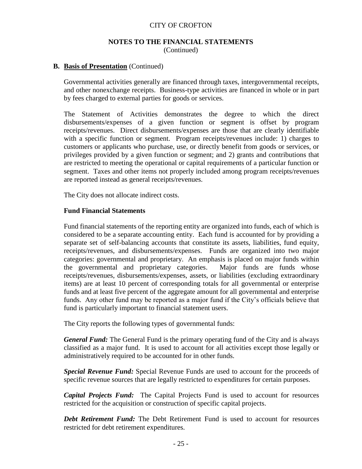#### **NOTES TO THE FINANCIAL STATEMENTS** (Continued)

#### **B. Basis of Presentation** (Continued)

Governmental activities generally are financed through taxes, intergovernmental receipts, and other nonexchange receipts. Business-type activities are financed in whole or in part by fees charged to external parties for goods or services.

The Statement of Activities demonstrates the degree to which the direct disbursements/expenses of a given function or segment is offset by program receipts/revenues. Direct disbursements/expenses are those that are clearly identifiable with a specific function or segment. Program receipts/revenues include: 1) charges to customers or applicants who purchase, use, or directly benefit from goods or services, or privileges provided by a given function or segment; and 2) grants and contributions that are restricted to meeting the operational or capital requirements of a particular function or segment. Taxes and other items not properly included among program receipts/revenues are reported instead as general receipts/revenues.

The City does not allocate indirect costs.

#### **Fund Financial Statements**

Fund financial statements of the reporting entity are organized into funds, each of which is considered to be a separate accounting entity. Each fund is accounted for by providing a separate set of self-balancing accounts that constitute its assets, liabilities, fund equity, receipts/revenues, and disbursements/expenses. Funds are organized into two major categories: governmental and proprietary. An emphasis is placed on major funds within the governmental and proprietary categories. Major funds are funds whose receipts/revenues, disbursements/expenses, assets, or liabilities (excluding extraordinary items) are at least 10 percent of corresponding totals for all governmental or enterprise funds and at least five percent of the aggregate amount for all governmental and enterprise funds. Any other fund may be reported as a major fund if the City's officials believe that fund is particularly important to financial statement users.

The City reports the following types of governmental funds:

*General Fund:* The General Fund is the primary operating fund of the City and is always classified as a major fund. It is used to account for all activities except those legally or administratively required to be accounted for in other funds.

*Special Revenue Fund:* Special Revenue Funds are used to account for the proceeds of specific revenue sources that are legally restricted to expenditures for certain purposes.

*Capital Projects Fund:* The Capital Projects Fund is used to account for resources restricted for the acquisition or construction of specific capital projects.

*Debt Retirement Fund:* The Debt Retirement Fund is used to account for resources restricted for debt retirement expenditures.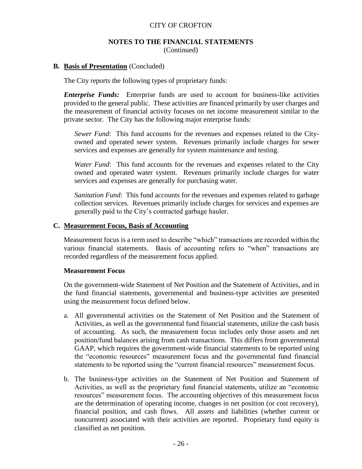#### **NOTES TO THE FINANCIAL STATEMENTS** (Continued)

#### **B. Basis of Presentation** (Concluded)

The City reports the following types of proprietary funds:

*Enterprise Funds:* Enterprise funds are used to account for business-like activities provided to the general public. These activities are financed primarily by user charges and the measurement of financial activity focuses on net income measurement similar to the private sector. The City has the following major enterprise funds:

*Sewer Fund*: This fund accounts for the revenues and expenses related to the Cityowned and operated sewer system. Revenues primarily include charges for sewer services and expenses are generally for system maintenance and testing.

*Water Fund*: This fund accounts for the revenues and expenses related to the City owned and operated water system. Revenues primarily include charges for water services and expenses are generally for purchasing water.

*Sanitation Fund*: This fund accounts for the revenues and expenses related to garbage collection services. Revenues primarily include charges for services and expenses are generally paid to the City's contracted garbage hauler.

#### **C. Measurement Focus, Basis of Accounting**

Measurement focus is a term used to describe "which" transactions are recorded within the various financial statements. Basis of accounting refers to "when" transactions are recorded regardless of the measurement focus applied.

#### **Measurement Focus**

On the government-wide Statement of Net Position and the Statement of Activities, and in the fund financial statements, governmental and business-type activities are presented using the measurement focus defined below.

- a. All governmental activities on the Statement of Net Position and the Statement of Activities, as well as the governmental fund financial statements, utilize the cash basis of accounting. As such, the measurement focus includes only those assets and net position/fund balances arising from cash transactions. This differs from governmental GAAP, which requires the government-wide financial statements to be reported using the "economic resources" measurement focus and the governmental fund financial statements to be reported using the "current financial resources" measurement focus.
- b. The business-type activities on the Statement of Net Position and Statement of Activities, as well as the proprietary fund financial statements, utilize an "economic resources" measurement focus. The accounting objectives of this measurement focus are the determination of operating income, changes in net position (or cost recovery), financial position, and cash flows. All assets and liabilities (whether current or noncurrent) associated with their activities are reported. Proprietary fund equity is classified as net position.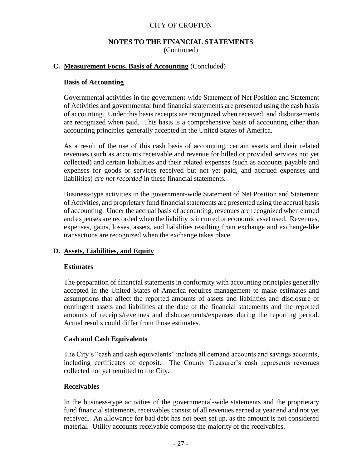## **NOTES TO THE FINANCIAL STATEMENTS** (Continued)

### **C. Measurement Focus, Basis of Accounting** (Concluded)

#### **Basis of Accounting**

Governmental activities in the government-wide Statement of Net Position and Statement of Activities and governmental fund financial statements are presented using the cash basis of accounting. Under this basis receipts are recognized when received, and disbursements are recognized when paid. This basis is a comprehensive basis of accounting other than accounting principles generally accepted in the United States of America.

As a result of the use of this cash basis of accounting, certain assets and their related revenues (such as accounts receivable and revenue for billed or provided services not yet collected) and certain liabilities and their related expenses (such as accounts payable and expenses for goods or services received but not yet paid, and accrued expenses and liabilities) *are not recorded* in these financial statements.

Business-type activities in the government-wide Statement of Net Position and Statement of Activities, and proprietary fund financial statements are presented using the accrual basis of accounting. Under the accrual basis of accounting, revenues are recognized when earned and expenses are recorded when the liability is incurred or economic asset used. Revenues, expenses, gains, losses, assets, and liabilities resulting from exchange and exchange-like transactions are recognized when the exchange takes place.

# **D. Assets, Liabilities, and Equity**

#### **Estimates**

The preparation of financial statements in conformity with accounting principles generally accepted in the United States of America requires management to make estimates and assumptions that affect the reported amounts of assets and liabilities and disclosure of contingent assets and liabilities at the date of the financial statements and the reported amounts of receipts/revenues and disbursements/expenses during the reporting period. Actual results could differ from those estimates.

#### **Cash and Cash Equivalents**

The City's "cash and cash equivalents" include all demand accounts and savings accounts, including certificates of deposit. The County Treasurer's cash represents revenues collected not yet remitted to the City.

#### **Receivables**

In the business-type activities of the governmental-wide statements and the proprietary fund financial statements, receivables consist of all revenues earned at year end and not yet received. An allowance for bad debt has not been set up, as the amount is not considered material. Utility accounts receivable compose the majority of the receivables.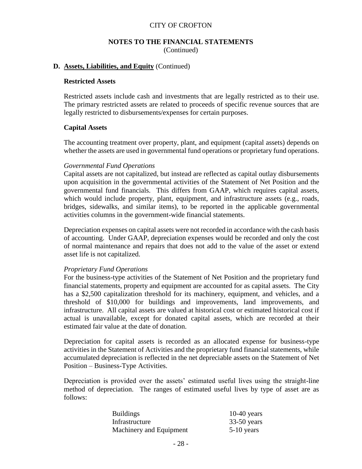#### **NOTES TO THE FINANCIAL STATEMENTS** (Continued)

#### **D. Assets, Liabilities, and Equity** (Continued)

#### **Restricted Assets**

Restricted assets include cash and investments that are legally restricted as to their use. The primary restricted assets are related to proceeds of specific revenue sources that are legally restricted to disbursements/expenses for certain purposes.

#### **Capital Assets**

The accounting treatment over property, plant, and equipment (capital assets) depends on whether the assets are used in governmental fund operations or proprietary fund operations.

#### *Governmental Fund Operations*

Capital assets are not capitalized, but instead are reflected as capital outlay disbursements upon acquisition in the governmental activities of the Statement of Net Position and the governmental fund financials. This differs from GAAP, which requires capital assets, which would include property, plant, equipment, and infrastructure assets (e.g., roads, bridges, sidewalks, and similar items), to be reported in the applicable governmental activities columns in the government-wide financial statements.

Depreciation expenses on capital assets were not recorded in accordance with the cash basis of accounting. Under GAAP, depreciation expenses would be recorded and only the cost of normal maintenance and repairs that does not add to the value of the asset or extend asset life is not capitalized.

#### *Proprietary Fund Operations*

For the business-type activities of the Statement of Net Position and the proprietary fund financial statements, property and equipment are accounted for as capital assets. The City has a \$2,500 capitalization threshold for its machinery, equipment, and vehicles, and a threshold of \$10,000 for buildings and improvements, land improvements, and infrastructure. All capital assets are valued at historical cost or estimated historical cost if actual is unavailable, except for donated capital assets, which are recorded at their estimated fair value at the date of donation.

Depreciation for capital assets is recorded as an allocated expense for business-type activities in the Statement of Activities and the proprietary fund financial statements, while accumulated depreciation is reflected in the net depreciable assets on the Statement of Net Position – Business-Type Activities.

Depreciation is provided over the assets' estimated useful lives using the straight-line method of depreciation. The ranges of estimated useful lives by type of asset are as follows:

| <b>Buildings</b>        | $10-40$ years |
|-------------------------|---------------|
| Infrastructure          | $33-50$ years |
| Machinery and Equipment | $5-10$ years  |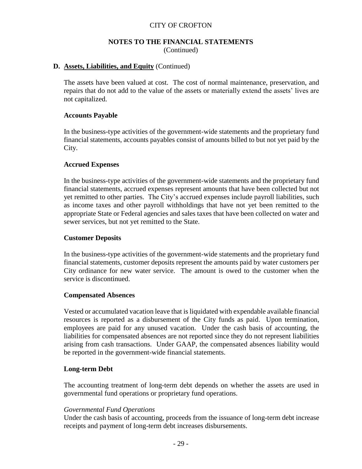#### **NOTES TO THE FINANCIAL STATEMENTS** (Continued)

#### **D. Assets, Liabilities, and Equity** (Continued)

The assets have been valued at cost. The cost of normal maintenance, preservation, and repairs that do not add to the value of the assets or materially extend the assets' lives are not capitalized.

#### **Accounts Payable**

In the business-type activities of the government-wide statements and the proprietary fund financial statements, accounts payables consist of amounts billed to but not yet paid by the City.

#### **Accrued Expenses**

In the business-type activities of the government-wide statements and the proprietary fund financial statements, accrued expenses represent amounts that have been collected but not yet remitted to other parties. The City's accrued expenses include payroll liabilities, such as income taxes and other payroll withholdings that have not yet been remitted to the appropriate State or Federal agencies and sales taxes that have been collected on water and sewer services, but not yet remitted to the State.

#### **Customer Deposits**

In the business-type activities of the government-wide statements and the proprietary fund financial statements, customer deposits represent the amounts paid by water customers per City ordinance for new water service. The amount is owed to the customer when the service is discontinued.

#### **Compensated Absences**

Vested or accumulated vacation leave that is liquidated with expendable available financial resources is reported as a disbursement of the City funds as paid. Upon termination, employees are paid for any unused vacation. Under the cash basis of accounting, the liabilities for compensated absences are not reported since they do not represent liabilities arising from cash transactions. Under GAAP, the compensated absences liability would be reported in the government-wide financial statements.

#### **Long-term Debt**

The accounting treatment of long-term debt depends on whether the assets are used in governmental fund operations or proprietary fund operations.

#### *Governmental Fund Operations*

Under the cash basis of accounting, proceeds from the issuance of long-term debt increase receipts and payment of long-term debt increases disbursements.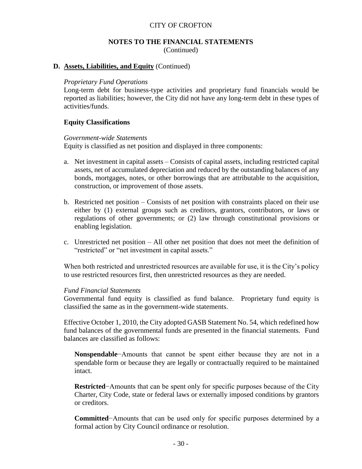#### **NOTES TO THE FINANCIAL STATEMENTS** (Continued)

#### **D. Assets, Liabilities, and Equity** (Continued)

#### *Proprietary Fund Operations*

Long-term debt for business-type activities and proprietary fund financials would be reported as liabilities; however, the City did not have any long-term debt in these types of activities/funds.

### **Equity Classifications**

#### *Government-wide Statements*

Equity is classified as net position and displayed in three components:

- a. Net investment in capital assets Consists of capital assets, including restricted capital assets, net of accumulated depreciation and reduced by the outstanding balances of any bonds, mortgages, notes, or other borrowings that are attributable to the acquisition, construction, or improvement of those assets.
- b. Restricted net position Consists of net position with constraints placed on their use either by (1) external groups such as creditors, grantors, contributors, or laws or regulations of other governments; or (2) law through constitutional provisions or enabling legislation.
- c. Unrestricted net position All other net position that does not meet the definition of "restricted" or "net investment in capital assets."

When both restricted and unrestricted resources are available for use, it is the City's policy to use restricted resources first, then unrestricted resources as they are needed.

#### *Fund Financial Statements*

Governmental fund equity is classified as fund balance. Proprietary fund equity is classified the same as in the government-wide statements.

Effective October 1, 2010, the City adopted GASB Statement No. 54, which redefined how fund balances of the governmental funds are presented in the financial statements. Fund balances are classified as follows:

**Nonspendable**−Amounts that cannot be spent either because they are not in a spendable form or because they are legally or contractually required to be maintained intact.

**Restricted**−Amounts that can be spent only for specific purposes because of the City Charter, City Code, state or federal laws or externally imposed conditions by grantors or creditors.

**Committed**−Amounts that can be used only for specific purposes determined by a formal action by City Council ordinance or resolution.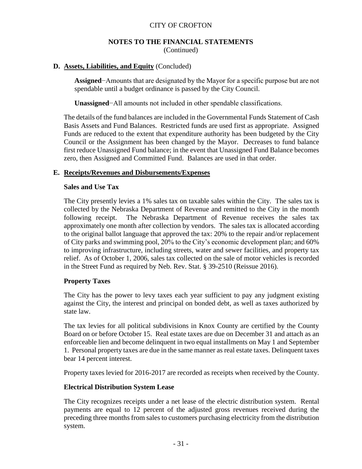#### **NOTES TO THE FINANCIAL STATEMENTS** (Continued)

### **D. Assets, Liabilities, and Equity** (Concluded)

**Assigned**−Amounts that are designated by the Mayor for a specific purpose but are not spendable until a budget ordinance is passed by the City Council.

**Unassigned**−All amounts not included in other spendable classifications.

The details of the fund balances are included in the Governmental Funds Statement of Cash Basis Assets and Fund Balances. Restricted funds are used first as appropriate. Assigned Funds are reduced to the extent that expenditure authority has been budgeted by the City Council or the Assignment has been changed by the Mayor. Decreases to fund balance first reduce Unassigned Fund balance; in the event that Unassigned Fund Balance becomes zero, then Assigned and Committed Fund. Balances are used in that order.

#### **E. Receipts/Revenues and Disbursements/Expenses**

#### **Sales and Use Tax**

The City presently levies a 1% sales tax on taxable sales within the City. The sales tax is collected by the Nebraska Department of Revenue and remitted to the City in the month following receipt. The Nebraska Department of Revenue receives the sales tax approximately one month after collection by vendors. The sales tax is allocated according to the original ballot language that approved the tax: 20% to the repair and/or replacement of City parks and swimming pool, 20% to the City's economic development plan; and 60% to improving infrastructure, including streets, water and sewer facilities, and property tax relief. As of October 1, 2006, sales tax collected on the sale of motor vehicles is recorded in the Street Fund as required by Neb. Rev. Stat. § 39-2510 (Reissue 2016).

#### **Property Taxes**

The City has the power to levy taxes each year sufficient to pay any judgment existing against the City, the interest and principal on bonded debt, as well as taxes authorized by state law.

The tax levies for all political subdivisions in Knox County are certified by the County Board on or before October 15. Real estate taxes are due on December 31 and attach as an enforceable lien and become delinquent in two equal installments on May 1 and September 1. Personal property taxes are due in the same manner as real estate taxes. Delinquent taxes bear 14 percent interest.

Property taxes levied for 2016-2017 are recorded as receipts when received by the County.

#### **Electrical Distribution System Lease**

The City recognizes receipts under a net lease of the electric distribution system. Rental payments are equal to 12 percent of the adjusted gross revenues received during the preceding three months from sales to customers purchasing electricity from the distribution system.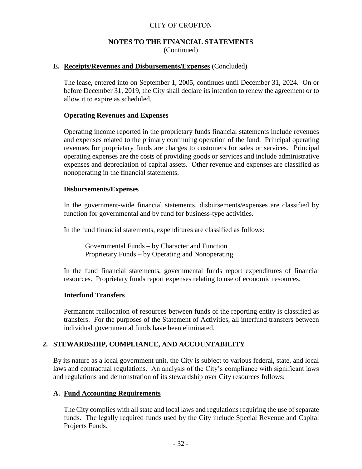### **NOTES TO THE FINANCIAL STATEMENTS** (Continued)

#### **E. Receipts/Revenues and Disbursements/Expenses** (Concluded)

The lease, entered into on September 1, 2005, continues until December 31, 2024. On or before December 31, 2019, the City shall declare its intention to renew the agreement or to allow it to expire as scheduled.

#### **Operating Revenues and Expenses**

Operating income reported in the proprietary funds financial statements include revenues and expenses related to the primary continuing operation of the fund. Principal operating revenues for proprietary funds are charges to customers for sales or services. Principal operating expenses are the costs of providing goods or services and include administrative expenses and depreciation of capital assets. Other revenue and expenses are classified as nonoperating in the financial statements.

#### **Disbursements/Expenses**

In the government-wide financial statements, disbursements/expenses are classified by function for governmental and by fund for business-type activities.

In the fund financial statements, expenditures are classified as follows:

Governmental Funds – by Character and Function Proprietary Funds – by Operating and Nonoperating

In the fund financial statements, governmental funds report expenditures of financial resources. Proprietary funds report expenses relating to use of economic resources.

#### **Interfund Transfers**

Permanent reallocation of resources between funds of the reporting entity is classified as transfers. For the purposes of the Statement of Activities, all interfund transfers between individual governmental funds have been eliminated.

#### **2. STEWARDSHIP, COMPLIANCE, AND ACCOUNTABILITY**

By its nature as a local government unit, the City is subject to various federal, state, and local laws and contractual regulations. An analysis of the City's compliance with significant laws and regulations and demonstration of its stewardship over City resources follows:

#### **A. Fund Accounting Requirements**

The City complies with all state and local laws and regulations requiring the use of separate funds. The legally required funds used by the City include Special Revenue and Capital Projects Funds.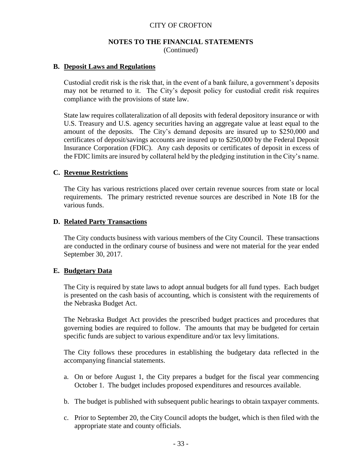#### **NOTES TO THE FINANCIAL STATEMENTS** (Continued)

#### **B. Deposit Laws and Regulations**

Custodial credit risk is the risk that, in the event of a bank failure, a government's deposits may not be returned to it. The City's deposit policy for custodial credit risk requires compliance with the provisions of state law.

State law requires collateralization of all deposits with federal depository insurance or with U.S. Treasury and U.S. agency securities having an aggregate value at least equal to the amount of the deposits. The City's demand deposits are insured up to \$250,000 and certificates of deposit/savings accounts are insured up to \$250,000 by the Federal Deposit Insurance Corporation (FDIC). Any cash deposits or certificates of deposit in excess of the FDIC limits are insured by collateral held by the pledging institution in the City's name.

#### **C. Revenue Restrictions**

The City has various restrictions placed over certain revenue sources from state or local requirements. The primary restricted revenue sources are described in Note 1B for the various funds.

### **D. Related Party Transactions**

The City conducts business with various members of the City Council. These transactions are conducted in the ordinary course of business and were not material for the year ended September 30, 2017.

#### **E. Budgetary Data**

The City is required by state laws to adopt annual budgets for all fund types. Each budget is presented on the cash basis of accounting, which is consistent with the requirements of the Nebraska Budget Act.

The Nebraska Budget Act provides the prescribed budget practices and procedures that governing bodies are required to follow. The amounts that may be budgeted for certain specific funds are subject to various expenditure and/or tax levy limitations.

The City follows these procedures in establishing the budgetary data reflected in the accompanying financial statements.

- a. On or before August 1, the City prepares a budget for the fiscal year commencing October 1. The budget includes proposed expenditures and resources available.
- b. The budget is published with subsequent public hearings to obtain taxpayer comments.
- c. Prior to September 20, the City Council adopts the budget, which is then filed with the appropriate state and county officials.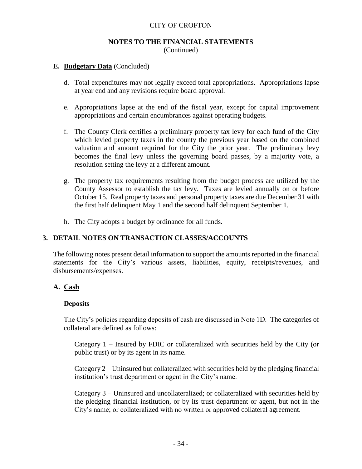#### **NOTES TO THE FINANCIAL STATEMENTS** (Continued)

#### **E. Budgetary Data** (Concluded)

- d. Total expenditures may not legally exceed total appropriations. Appropriations lapse at year end and any revisions require board approval.
- e. Appropriations lapse at the end of the fiscal year, except for capital improvement appropriations and certain encumbrances against operating budgets.
- f. The County Clerk certifies a preliminary property tax levy for each fund of the City which levied property taxes in the county the previous year based on the combined valuation and amount required for the City the prior year. The preliminary levy becomes the final levy unless the governing board passes, by a majority vote, a resolution setting the levy at a different amount.
- g. The property tax requirements resulting from the budget process are utilized by the County Assessor to establish the tax levy. Taxes are levied annually on or before October 15. Real property taxes and personal property taxes are due December 31 with the first half delinquent May 1 and the second half delinquent September 1.
- h. The City adopts a budget by ordinance for all funds.

# **3. DETAIL NOTES ON TRANSACTION CLASSES/ACCOUNTS**

The following notes present detail information to support the amounts reported in the financial statements for the City's various assets, liabilities, equity, receipts/revenues, and disbursements/expenses.

# **A. Cash**

#### **Deposits**

The City's policies regarding deposits of cash are discussed in Note 1D. The categories of collateral are defined as follows:

Category 1 – Insured by FDIC or collateralized with securities held by the City (or public trust) or by its agent in its name.

Category 2 – Uninsured but collateralized with securities held by the pledging financial institution's trust department or agent in the City's name.

Category 3 – Uninsured and uncollateralized; or collateralized with securities held by the pledging financial institution, or by its trust department or agent, but not in the City's name; or collateralized with no written or approved collateral agreement.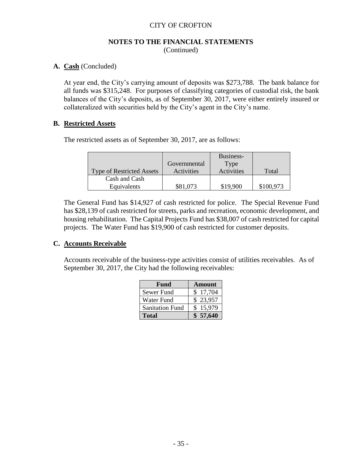#### **NOTES TO THE FINANCIAL STATEMENTS** (Continued)

# **A. Cash** (Concluded)

At year end, the City's carrying amount of deposits was \$273,788. The bank balance for all funds was \$315,248. For purposes of classifying categories of custodial risk, the bank balances of the City's deposits, as of September 30, 2017, were either entirely insured or collateralized with securities held by the City's agent in the City's name.

### **B. Restricted Assets**

The restricted assets as of September 30, 2017, are as follows:

|                                  |              | Business-  |           |
|----------------------------------|--------------|------------|-----------|
|                                  | Governmental | Type       |           |
| <b>Type of Restricted Assets</b> | Activities   | Activities | Total     |
| Cash and Cash                    |              |            |           |
| Equivalents                      | \$81,073     | \$19,900   | \$100,973 |

The General Fund has \$14,927 of cash restricted for police. The Special Revenue Fund has \$28,139 of cash restricted for streets, parks and recreation, economic development, and housing rehabilitation. The Capital Projects Fund has \$38,007 of cash restricted for capital projects. The Water Fund has \$19,900 of cash restricted for customer deposits.

# **C. Accounts Receivable**

Accounts receivable of the business-type activities consist of utilities receivables. As of September 30, 2017, the City had the following receivables:

| Fund                   | <b>Amount</b> |
|------------------------|---------------|
| Sewer Fund             | \$17,704      |
| Water Fund             | \$23,957      |
| <b>Sanitation Fund</b> | \$15,979      |
| <b>Total</b>           | \$57,640      |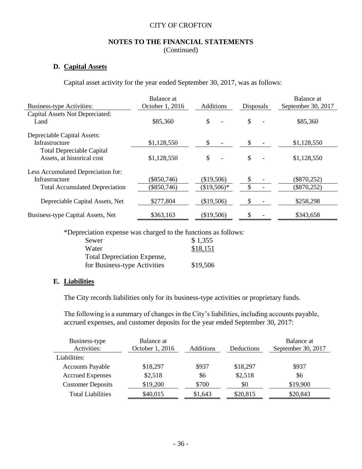#### **NOTES TO THE FINANCIAL STATEMENTS** (Continued)

# **D. Capital Assets**

Capital asset activity for the year ended September 30, 2017, was as follows:

|                                       | Balance at      |                        |                  | Balance at         |
|---------------------------------------|-----------------|------------------------|------------------|--------------------|
| <b>Business-type Activities:</b>      | October 1, 2016 | <b>Additions</b>       | <b>Disposals</b> | September 30, 2017 |
| Capital Assets Not Depreciated:       |                 |                        |                  |                    |
| Land                                  | \$85,360        | \$                     | \$               | \$85,360           |
| Depreciable Capital Assets:           |                 |                        |                  |                    |
| Infrastructure                        | \$1,128,550     | \$                     | \$               | \$1,128,550        |
| <b>Total Depreciable Capital</b>      |                 |                        |                  |                    |
| Assets, at historical cost            | \$1,128,550     | \$                     | \$               | \$1,128,550        |
| Less Accumulated Depreciation for:    |                 |                        |                  |                    |
| Infrastructure                        | $(\$850,746)$   | (\$19,506)             |                  | $(\$870,252)$      |
| <b>Total Accumulated Depreciation</b> | $(\$850,746)$   | $$19,506$ <sup>*</sup> | \$               | $(\$870,252)$      |
| Depreciable Capital Assets, Net       | \$277,804       | (\$19,506)             |                  | \$258,298          |
| Business-type Capital Assets, Net     | \$363,163       | (\$19,506)             |                  | \$343,658          |

\*Depreciation expense was charged to the functions as follows:

| Sewer                              | \$1,355  |
|------------------------------------|----------|
| Water                              | \$18,151 |
| <b>Total Depreciation Expense,</b> |          |
| for Business-type Activities       | \$19,506 |

# **E. Liabilities**

The City records liabilities only for its business-type activities or proprietary funds.

The following is a summary of changes in the City's liabilities, including accounts payable, accrued expenses, and customer deposits for the year ended September 30, 2017:

| Business-type<br>Activities: | Balance at<br>October 1, 2016 | <b>Additions</b> | Deductions | Balance at<br>September 30, 2017 |
|------------------------------|-------------------------------|------------------|------------|----------------------------------|
| Liabilities:                 |                               |                  |            |                                  |
| <b>Accounts Payable</b>      | \$18,297                      | \$937            | \$18,297   | \$937                            |
| <b>Accrued Expenses</b>      | \$2,518                       | \$6              | \$2,518    | \$6                              |
| <b>Customer Deposits</b>     | \$19,200                      | \$700            | \$0        | \$19,900                         |
| <b>Total Liabilities</b>     | \$40,015                      | \$1,643          | \$20,815   | \$20,843                         |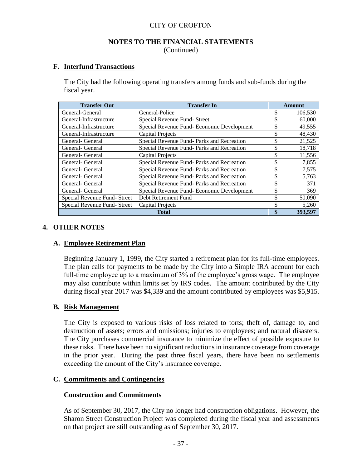#### **NOTES TO THE FINANCIAL STATEMENTS** (Continued)

### **F. Interfund Transactions**

The City had the following operating transfers among funds and sub-funds during the fiscal year.

| <b>Transfer Out</b>          | <b>Transfer In</b>                         | Amount        |
|------------------------------|--------------------------------------------|---------------|
| General-General              | General-Police                             | \$<br>106,530 |
| General-Infrastructure       | Special Revenue Fund- Street               | \$<br>60,000  |
| General-Infrastructure       | Special Revenue Fund-Economic Development  | \$<br>49,555  |
| General-Infrastructure       | <b>Capital Projects</b>                    | \$<br>48,430  |
| General- General             | Special Revenue Fund- Parks and Recreation | \$<br>21,525  |
| General- General             | Special Revenue Fund- Parks and Recreation | \$<br>18,718  |
| General- General             | <b>Capital Projects</b>                    | \$<br>11,556  |
| General- General             | Special Revenue Fund- Parks and Recreation | \$<br>7,855   |
| General- General             | Special Revenue Fund-Parks and Recreation  | \$<br>7,575   |
| General- General             | Special Revenue Fund- Parks and Recreation | \$<br>5,763   |
| General- General             | Special Revenue Fund-Parks and Recreation  | \$<br>371     |
| General- General             | Special Revenue Fund-Economic Development  | \$<br>369     |
| Special Revenue Fund- Street | Debt Retirement Fund                       | \$<br>50,090  |
| Special Revenue Fund-Street  | <b>Capital Projects</b>                    | \$<br>5,260   |
|                              | Total                                      | \$<br>393,597 |

#### **4. OTHER NOTES**

#### **A. Employee Retirement Plan**

Beginning January 1, 1999, the City started a retirement plan for its full-time employees. The plan calls for payments to be made by the City into a Simple IRA account for each full-time employee up to a maximum of 3% of the employee's gross wage. The employee may also contribute within limits set by IRS codes. The amount contributed by the City during fiscal year 2017 was \$4,339 and the amount contributed by employees was \$5,915.

#### **B. Risk Management**

The City is exposed to various risks of loss related to torts; theft of, damage to, and destruction of assets; errors and omissions; injuries to employees; and natural disasters. The City purchases commercial insurance to minimize the effect of possible exposure to these risks. There have been no significant reductions in insurance coverage from coverage in the prior year. During the past three fiscal years, there have been no settlements exceeding the amount of the City's insurance coverage.

#### **C. Commitments and Contingencies**

#### **Construction and Commitments**

As of September 30, 2017, the City no longer had construction obligations. However, the Sharon Street Construction Project was completed during the fiscal year and assessments on that project are still outstanding as of September 30, 2017.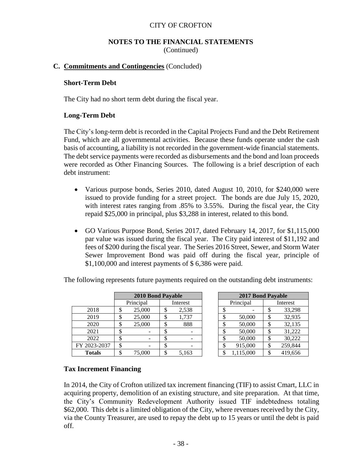### **NOTES TO THE FINANCIAL STATEMENTS** (Continued)

### **C. Commitments and Contingencies** (Concluded)

#### **Short-Term Debt**

The City had no short term debt during the fiscal year.

#### **Long-Term Debt**

The City's long-term debt is recorded in the Capital Projects Fund and the Debt Retirement Fund, which are all governmental activities. Because these funds operate under the cash basis of accounting, a liability is not recorded in the government-wide financial statements. The debt service payments were recorded as disbursements and the bond and loan proceeds were recorded as Other Financing Sources. The following is a brief description of each debt instrument:

- Various purpose bonds, Series 2010, dated August 10, 2010, for \$240,000 were issued to provide funding for a street project. The bonds are due July 15, 2020, with interest rates ranging from .85% to 3.55%. During the fiscal year, the City repaid \$25,000 in principal, plus \$3,288 in interest, related to this bond.
- GO Various Purpose Bond, Series 2017, dated February 14, 2017, for \$1,115,000 par value was issued during the fiscal year. The City paid interest of \$11,192 and fees of \$200 during the fiscal year. The Series 2016 Street, Sewer, and Storm Water Sewer Improvement Bond was paid off during the fiscal year, principle of \$1,100,000 and interest payments of \$ 6,386 were paid.

|               |    | <b>2010 Bond Payable</b> |   |          | 2017 Bond Payable |           |    |          |
|---------------|----|--------------------------|---|----------|-------------------|-----------|----|----------|
|               |    | Principal                |   | Interest |                   | Principal |    | Interest |
| 2018          | \$ | 25,000                   | J | 2,538    |                   |           |    | 33,298   |
| 2019          | Φ  | 25,000                   | Φ | 1,737    |                   | 50,000    | \$ | 32,935   |
| 2020          | \$ | 25,000                   | Φ | 888      | Φ                 | 50,000    | \$ | 32,135   |
| 2021          | \$ |                          | Φ |          | ¢                 | 50,000    | \$ | 31,222   |
| 2022          | \$ |                          |   |          |                   | 50,000    | S  | 30,222   |
| FY 2023-2037  | \$ |                          |   |          | \$                | 915,000   | \$ | 259,844  |
| <b>Totals</b> | \$ | 75,000                   |   | 5,163    |                   | 1,115,000 | S  | 419,656  |

The following represents future payments required on the outstanding debt instruments:

| <b>2017 Bond Payable</b> |           |          |         |  |  |  |  |
|--------------------------|-----------|----------|---------|--|--|--|--|
|                          | Principal | Interest |         |  |  |  |  |
| \$                       |           | \$       | 33,298  |  |  |  |  |
| \$                       | 50,000    | \$       | 32,935  |  |  |  |  |
| \$                       | 50,000    | \$       | 32,135  |  |  |  |  |
| \$                       | 50,000    | \$       | 31,222  |  |  |  |  |
| \$                       | 50,000    | \$       | 30,222  |  |  |  |  |
| \$                       | 915,000   | \$       | 259,844 |  |  |  |  |
| \$                       | 115 000   | \$       | 419 656 |  |  |  |  |

#### **Tax Increment Financing**

In 2014, the City of Crofton utilized tax increment financing (TIF) to assist Cmart, LLC in acquiring property, demolition of an existing structure, and site preparation. At that time, the City's Community Redevelopment Authority issued TIF indebtedness totaling \$62,000. This debt is a limited obligation of the City, where revenues received by the City, via the County Treasurer, are used to repay the debt up to 15 years or until the debt is paid off.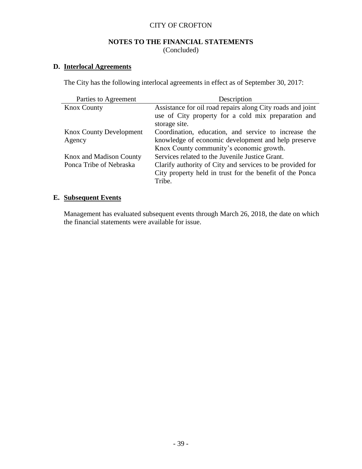# **NOTES TO THE FINANCIAL STATEMENTS** (Concluded)

# **D. Interlocal Agreements**

The City has the following interlocal agreements in effect as of September 30, 2017:

| Parties to Agreement           | Description                                                |
|--------------------------------|------------------------------------------------------------|
| <b>Knox County</b>             | Assistance for oil road repairs along City roads and joint |
|                                | use of City property for a cold mix preparation and        |
|                                | storage site.                                              |
| <b>Knox County Development</b> | Coordination, education, and service to increase the       |
| Agency                         | knowledge of economic development and help preserve        |
|                                | Knox County community's economic growth.                   |
| Knox and Madison County        | Services related to the Juvenile Justice Grant.            |
| Ponca Tribe of Nebraska        | Clarify authority of City and services to be provided for  |
|                                | City property held in trust for the benefit of the Ponca   |
|                                | Tribe.                                                     |

# **E. Subsequent Events**

Management has evaluated subsequent events through March 26, 2018, the date on which the financial statements were available for issue.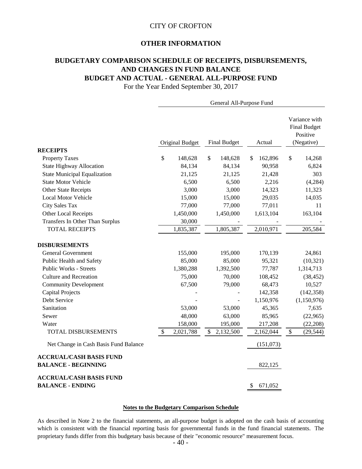# **OTHER INFORMATION**

# **BUDGETARY COMPARISON SCHEDULE OF RECEIPTS, DISBURSEMENTS, AND CHANGES IN FUND BALANCE BUDGET AND ACTUAL - GENERAL ALL-PURPOSE FUND**

For the Year Ended September 30, 2017

|                                                              | General All-Purpose Fund |                        |                     |           |               |                                                                |             |
|--------------------------------------------------------------|--------------------------|------------------------|---------------------|-----------|---------------|----------------------------------------------------------------|-------------|
|                                                              |                          | <b>Original Budget</b> | <b>Final Budget</b> |           | Actual        | Variance with<br><b>Final Budget</b><br>Positive<br>(Negative) |             |
| <b>RECEIPTS</b>                                              |                          |                        |                     |           |               |                                                                |             |
| <b>Property Taxes</b>                                        | \$                       | 148,628                | $\mathcal{S}$       | 148,628   | \$<br>162,896 | \$                                                             | 14,268      |
| <b>State Highway Allocation</b>                              |                          | 84,134                 |                     | 84,134    | 90,958        |                                                                | 6,824       |
| <b>State Municipal Equalization</b>                          |                          | 21,125                 |                     | 21,125    | 21,428        |                                                                | 303         |
| <b>State Motor Vehicle</b>                                   |                          | 6,500                  |                     | 6,500     | 2,216         |                                                                | (4,284)     |
| <b>Other State Receipts</b>                                  |                          | 3,000                  |                     | 3,000     | 14,323        |                                                                | 11,323      |
| <b>Local Motor Vehicle</b>                                   |                          | 15,000                 |                     | 15,000    | 29,035        |                                                                | 14,035      |
| <b>City Sales Tax</b>                                        |                          | 77,000                 |                     | 77,000    | 77,011        |                                                                | 11          |
| Other Local Receipts                                         |                          | 1,450,000              |                     | 1,450,000 | 1,613,104     |                                                                | 163,104     |
| Transfers In Other Than Surplus                              |                          | 30,000                 |                     |           |               |                                                                |             |
| <b>TOTAL RECEIPTS</b>                                        |                          | 1,835,387              |                     | 1,805,387 | 2,010,971     |                                                                | 205,584     |
| <b>DISBURSEMENTS</b>                                         |                          |                        |                     |           |               |                                                                |             |
| <b>General Government</b>                                    |                          | 155,000                |                     | 195,000   | 170,139       |                                                                | 24,861      |
| Public Health and Safety                                     |                          | 85,000                 |                     | 85,000    | 95,321        |                                                                | (10, 321)   |
| <b>Public Works - Streets</b>                                |                          | 1,380,288              |                     | 1,392,500 | 77,787        |                                                                | 1,314,713   |
| <b>Culture and Recreation</b>                                |                          | 75,000                 |                     | 70,000    | 108,452       |                                                                | (38, 452)   |
| <b>Community Development</b>                                 |                          | 67,500                 |                     | 79,000    | 68,473        |                                                                | 10,527      |
| <b>Capital Projects</b>                                      |                          |                        |                     |           | 142,358       |                                                                | (142, 358)  |
| Debt Service                                                 |                          |                        |                     |           | 1,150,976     |                                                                | (1,150,976) |
| Sanitation                                                   |                          | 53,000                 |                     | 53,000    | 45,365        |                                                                | 7,635       |
| Sewer                                                        |                          | 48,000                 |                     | 63,000    | 85,965        |                                                                | (22,965)    |
| Water                                                        |                          | 158,000                |                     | 195,000   | 217,208       |                                                                | (22, 208)   |
| TOTAL DISBURSEMENTS                                          | \$                       | 2,021,788              | $\mathbb{S}$        | 2,132,500 | 2,162,044     | $\$$                                                           | (29, 544)   |
| Net Change in Cash Basis Fund Balance                        |                          |                        |                     |           | (151,073)     |                                                                |             |
| <b>ACCRUAL/CASH BASIS FUND</b><br><b>BALANCE - BEGINNING</b> |                          |                        |                     |           | 822,125       |                                                                |             |
| <b>ACCRUAL/CASH BASIS FUND</b>                               |                          |                        |                     |           |               |                                                                |             |
| <b>BALANCE - ENDING</b>                                      |                          |                        |                     |           | 671,052<br>S. |                                                                |             |

#### **Notes to the Budgetary Comparison Schedule**

As described in Note 2 to the financial statements, an all-purpose budget is adopted on the cash basis of accounting which is consistent with the financial reporting basis for governmental funds in the fund financial statements. The proprietary funds differ from this budgetary basis because of their "economic resource" measurement focus.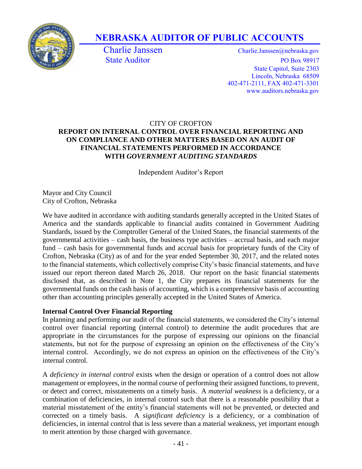

# **NEBRASKA AUDITOR OF PUBLIC ACCOUNTS**

Charlie Janssen Charlie.Janssen @nebraska.gov State Auditor PO Box 98917 State Capitol, Suite 2303 Lincoln, Nebraska 68509 402-471-2111, FAX 402-471-3301 www.auditors.nebraska.gov

# CITY OF CROFTON **REPORT ON INTERNAL CONTROL OVER FINANCIAL REPORTING AND ON COMPLIANCE AND OTHER MATTERS BASED ON AN AUDIT OF FINANCIAL STATEMENTS PERFORMED IN ACCORDANCE WITH** *GOVERNMENT AUDITING STANDARDS*

Independent Auditor's Report

Mayor and City Council City of Crofton, Nebraska

We have audited in accordance with auditing standards generally accepted in the United States of America and the standards applicable to financial audits contained in Government Auditing Standards, issued by the Comptroller General of the United States, the financial statements of the governmental activities – cash basis, the business type activities – accrual basis, and each major fund – cash basis for governmental funds and accrual basis for proprietary funds of the City of Crofton, Nebraska (City) as of and for the year ended September 30, 2017, and the related notes to the financial statements, which collectively comprise City's basic financial statements, and have issued our report thereon dated March 26, 2018. Our report on the basic financial statements disclosed that, as described in Note 1, the City prepares its financial statements for the governmental funds on the cash basis of accounting, which is a comprehensive basis of accounting other than accounting principles generally accepted in the United States of America.

# **Internal Control Over Financial Reporting**

In planning and performing our audit of the financial statements, we considered the City's internal control over financial reporting (internal control) to determine the audit procedures that are appropriate in the circumstances for the purpose of expressing our opinions on the financial statements, but not for the purpose of expressing an opinion on the effectiveness of the City's internal control. Accordingly, we do not express an opinion on the effectiveness of the City's internal control.

A *deficiency in internal control* exists when the design or operation of a control does not allow management or employees, in the normal course of performing their assigned functions, to prevent, or detect and correct, misstatements on a timely basis. A *material weakness* is a deficiency, or a combination of deficiencies, in internal control such that there is a reasonable possibility that a material misstatement of the entity's financial statements will not be prevented, or detected and corrected on a timely basis. A *significant deficiency* is a deficiency, or a combination of deficiencies, in internal control that is less severe than a material weakness, yet important enough to merit attention by those charged with governance.